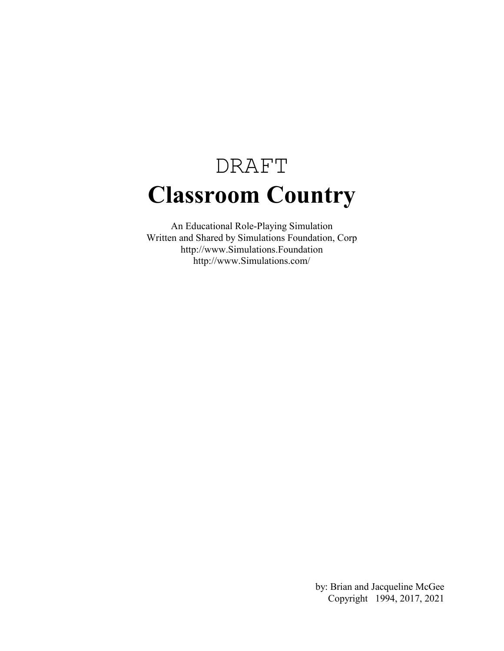# DRAFT **Classroom Country**

An Educational Role-Playing Simulation Written and Shared by Simulations Foundation, Corp http://www.Simulations.Foundation http://www.Simulations.com/

> by: Brian and Jacqueline McGee Copyright 1994, 2017, 2021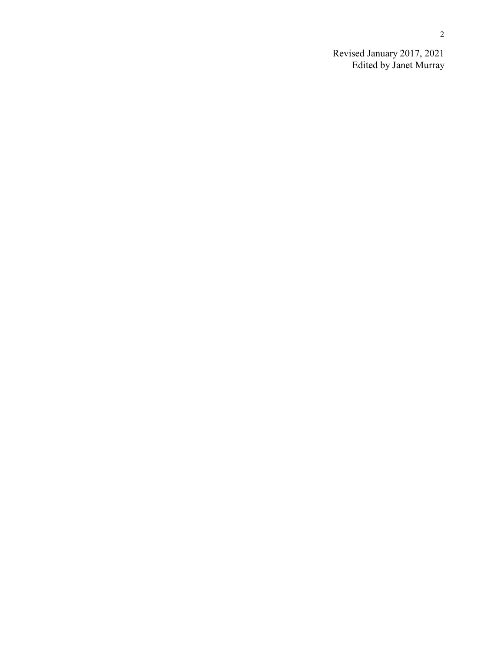Revised January 2017, 2021 Edited by Janet Murray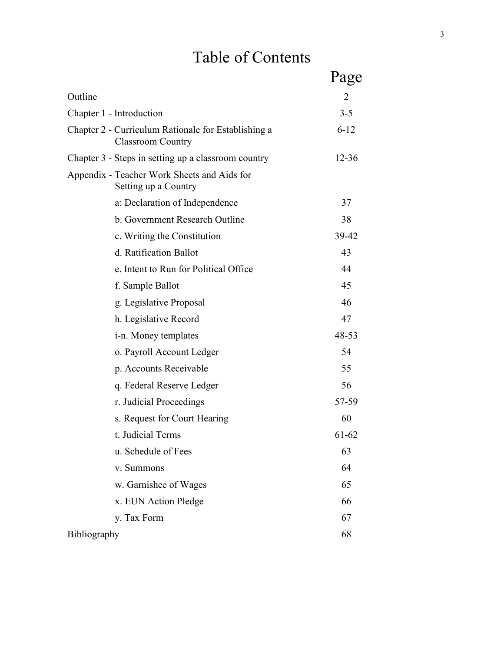# Table of Contents

|                                                                                 | Page      |
|---------------------------------------------------------------------------------|-----------|
| Outline                                                                         | 2         |
| Chapter 1 - Introduction                                                        | $3 - 5$   |
| Chapter 2 - Curriculum Rationale for Establishing a<br><b>Classroom Country</b> | $6 - 12$  |
| Chapter 3 - Steps in setting up a classroom country                             | $12 - 36$ |
| Appendix - Teacher Work Sheets and Aids for<br>Setting up a Country             |           |
| a: Declaration of Independence                                                  | 37        |
| b. Government Research Outline                                                  | 38        |
| c. Writing the Constitution                                                     | 39-42     |
| d. Ratification Ballot                                                          | 43        |
| e. Intent to Run for Political Office                                           | 44        |
| f. Sample Ballot                                                                | 45        |
| g. Legislative Proposal                                                         | 46        |
| h. Legislative Record                                                           | 47        |
| <i>i</i> -n. Money templates                                                    | 48-53     |
| o. Payroll Account Ledger                                                       | 54        |
| p. Accounts Receivable                                                          | 55        |
| q. Federal Reserve Ledger                                                       | 56        |
| r. Judicial Proceedings                                                         | 57-59     |
| s. Request for Court Hearing                                                    | 60        |
| t. Judicial Terms                                                               | 61-62     |
| u. Schedule of Fees                                                             | 63        |
| v. Summons                                                                      | 64        |
| w. Garnishee of Wages                                                           | 65        |
| x. EUN Action Pledge                                                            | 66        |
| y. Tax Form                                                                     | 67        |
| Bibliography                                                                    | 68        |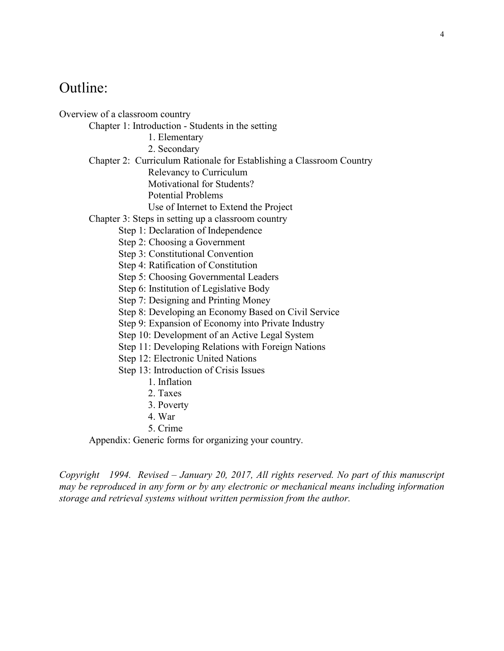# Outline:

Overview of a classroom country

Chapter 1: Introduction - Students in the setting

- 1. Elementary
- 2. Secondary
- Chapter 2: Curriculum Rationale for Establishing a Classroom Country
	- Relevancy to Curriculum

Motivational for Students?

Potential Problems

Use of Internet to Extend the Project

#### Chapter 3: Steps in setting up a classroom country

Step 1: Declaration of Independence

Step 2: Choosing a Government

Step 3: Constitutional Convention

Step 4: Ratification of Constitution

Step 5: Choosing Governmental Leaders

- Step 6: Institution of Legislative Body
- Step 7: Designing and Printing Money

Step 8: Developing an Economy Based on Civil Service

Step 9: Expansion of Economy into Private Industry

Step 10: Development of an Active Legal System

Step 11: Developing Relations with Foreign Nations

Step 12: Electronic United Nations

Step 13: Introduction of Crisis Issues

- 1. Inflation
- 2. Taxes
- 3. Poverty
- 4. War
- 5. Crime

Appendix: Generic forms for organizing your country.

*Copyright 1994. Revised – January 20, 2017, All rights reserved. No part of this manuscript may be reproduced in any form or by any electronic or mechanical means including information storage and retrieval systems without written permission from the author.*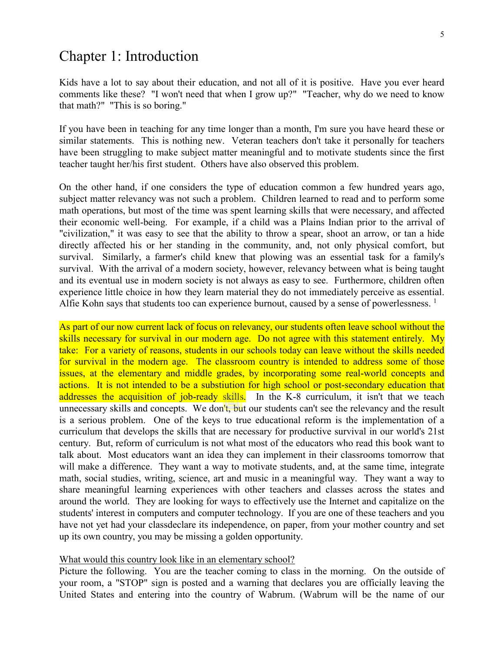### Chapter 1: Introduction

Kids have a lot to say about their education, and not all of it is positive. Have you ever heard comments like these? "I won't need that when I grow up?" "Teacher, why do we need to know that math?" "This is so boring."

If you have been in teaching for any time longer than a month, I'm sure you have heard these or similar statements. This is nothing new. Veteran teachers don't take it personally for teachers have been struggling to make subject matter meaningful and to motivate students since the first teacher taught her/his first student. Others have also observed this problem.

On the other hand, if one considers the type of education common a few hundred years ago, subject matter relevancy was not such a problem. Children learned to read and to perform some math operations, but most of the time was spent learning skills that were necessary, and affected their economic well-being. For example, if a child was a Plains Indian prior to the arrival of "civilization," it was easy to see that the ability to throw a spear, shoot an arrow, or tan a hide directly affected his or her standing in the community, and, not only physical comfort, but survival. Similarly, a farmer's child knew that plowing was an essential task for a family's survival. With the arrival of a modern society, however, relevancy between what is being taught and its eventual use in modern society is not always as easy to see. Furthermore, children often experience little choice in how they learn material they do not immediately perceive as essential. Alfie Kohn says that students too can experience burnout, caused by a sense of powerlessness.  $<sup>1</sup>$ </sup>

As part of our now current lack of focus on relevancy, our students often leave school without the skills necessary for survival in our modern age. Do not agree with this statement entirely. My take: For a variety of reasons, students in our schools today can leave without the skills needed for survival in the modern age. The classroom country is intended to address some of those issues, at the elementary and middle grades, by incorporating some real-world concepts and actions. It is not intended to be a substiution for high school or post-secondary education that addresses the acquisition of job-ready skills. In the K-8 curriculum, it isn't that we teach unnecessary skills and concepts. We don't, but our students can't see the relevancy and the result is a serious problem. One of the keys to true educational reform is the implementation of a curriculum that develops the skills that are necessary for productive survival in our world's 21st century. But, reform of curriculum is not what most of the educators who read this book want to talk about. Most educators want an idea they can implement in their classrooms tomorrow that will make a difference. They want a way to motivate students, and, at the same time, integrate math, social studies, writing, science, art and music in a meaningful way. They want a way to share meaningful learning experiences with other teachers and classes across the states and around the world. They are looking for ways to effectively use the Internet and capitalize on the students' interest in computers and computer technology. If you are one of these teachers and you have not yet had your classdeclare its independence, on paper, from your mother country and set up its own country, you may be missing a golden opportunity.

#### What would this country look like in an elementary school?

Picture the following. You are the teacher coming to class in the morning. On the outside of your room, a "STOP" sign is posted and a warning that declares you are officially leaving the United States and entering into the country of Wabrum. (Wabrum will be the name of our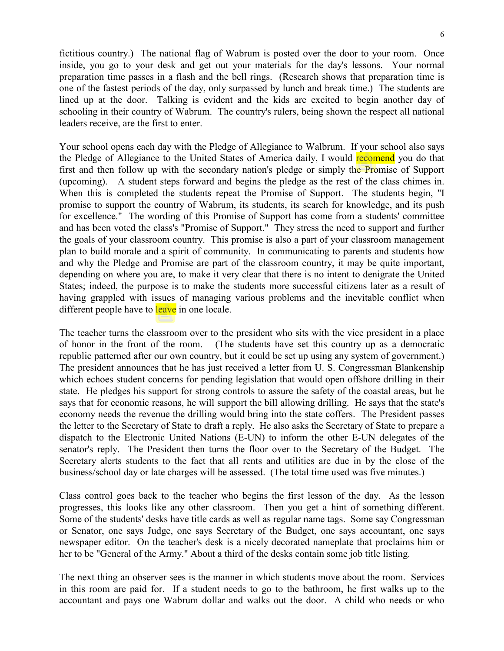fictitious country.) The national flag of Wabrum is posted over the door to your room. Once inside, you go to your desk and get out your materials for the day's lessons. Your normal preparation time passes in a flash and the bell rings. (Research shows that preparation time is one of the fastest periods of the day, only surpassed by lunch and break time.) The students are lined up at the door. Talking is evident and the kids are excited to begin another day of schooling in their country of Wabrum. The country's rulers, being shown the respect all national leaders receive, are the first to enter.

Your school opens each day with the Pledge of Allegiance to Walbrum. If your school also says the Pledge of Allegiance to the United States of America daily, I would recomend you do that first and then follow up with the secondary nation's pledge or simply the Promise of Support (upcoming). A student steps forward and begins the pledge as the rest of the class chimes in. When this is completed the students repeat the Promise of Support. The students begin, "I promise to support the country of Wabrum, its students, its search for knowledge, and its push for excellence." The wording of this Promise of Support has come from a students' committee and has been voted the class's "Promise of Support." They stress the need to support and further the goals of your classroom country. This promise is also a part of your classroom management plan to build morale and a spirit of community. In communicating to parents and students how and why the Pledge and Promise are part of the classroom country, it may be quite important, depending on where you are, to make it very clear that there is no intent to denigrate the United States; indeed, the purpose is to make the students more successful citizens later as a result of having grappled with issues of managing various problems and the inevitable conflict when different people have to leave in one locale.

The teacher turns the classroom over to the president who sits with the vice president in a place of honor in the front of the room. (The students have set this country up as a democratic republic patterned after our own country, but it could be set up using any system of government.) The president announces that he has just received a letter from U. S. Congressman Blankenship which echoes student concerns for pending legislation that would open offshore drilling in their state. He pledges his support for strong controls to assure the safety of the coastal areas, but he says that for economic reasons, he will support the bill allowing drilling. He says that the state's economy needs the revenue the drilling would bring into the state coffers. The President passes the letter to the Secretary of State to draft a reply. He also asks the Secretary of State to prepare a dispatch to the Electronic United Nations (E-UN) to inform the other E-UN delegates of the senator's reply. The President then turns the floor over to the Secretary of the Budget. The Secretary alerts students to the fact that all rents and utilities are due in by the close of the business/school day or late charges will be assessed. (The total time used was five minutes.)

Class control goes back to the teacher who begins the first lesson of the day. As the lesson progresses, this looks like any other classroom. Then you get a hint of something different. Some of the students' desks have title cards as well as regular name tags. Some say Congressman or Senator, one says Judge, one says Secretary of the Budget, one says accountant, one says newspaper editor. On the teacher's desk is a nicely decorated nameplate that proclaims him or her to be "General of the Army." About a third of the desks contain some job title listing.

The next thing an observer sees is the manner in which students move about the room. Services in this room are paid for. If a student needs to go to the bathroom, he first walks up to the accountant and pays one Wabrum dollar and walks out the door. A child who needs or who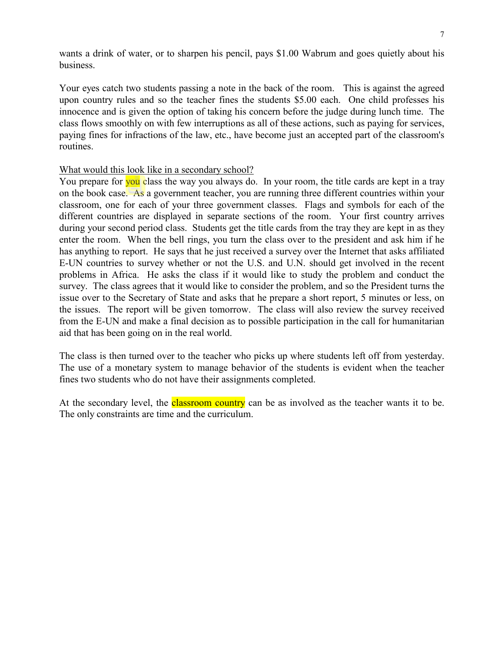wants a drink of water, or to sharpen his pencil, pays \$1.00 Wabrum and goes quietly about his business.

Your eyes catch two students passing a note in the back of the room. This is against the agreed upon country rules and so the teacher fines the students \$5.00 each. One child professes his innocence and is given the option of taking his concern before the judge during lunch time. The class flows smoothly on with few interruptions as all of these actions, such as paying for services, paying fines for infractions of the law, etc., have become just an accepted part of the classroom's routines.

#### What would this look like in a secondary school?

You prepare for you class the way you always do. In your room, the title cards are kept in a tray on the book case. As a government teacher, you are running three different countries within your classroom, one for each of your three government classes. Flags and symbols for each of the different countries are displayed in separate sections of the room. Your first country arrives during your second period class. Students get the title cards from the tray they are kept in as they enter the room. When the bell rings, you turn the class over to the president and ask him if he has anything to report. He says that he just received a survey over the Internet that asks affiliated E-UN countries to survey whether or not the U.S. and U.N. should get involved in the recent problems in Africa. He asks the class if it would like to study the problem and conduct the survey. The class agrees that it would like to consider the problem, and so the President turns the issue over to the Secretary of State and asks that he prepare a short report, 5 minutes or less, on the issues. The report will be given tomorrow. The class will also review the survey received from the E-UN and make a final decision as to possible participation in the call for humanitarian aid that has been going on in the real world.

The class is then turned over to the teacher who picks up where students left off from yesterday. The use of a monetary system to manage behavior of the students is evident when the teacher fines two students who do not have their assignments completed.

At the secondary level, the **classroom country** can be as involved as the teacher wants it to be. The only constraints are time and the curriculum.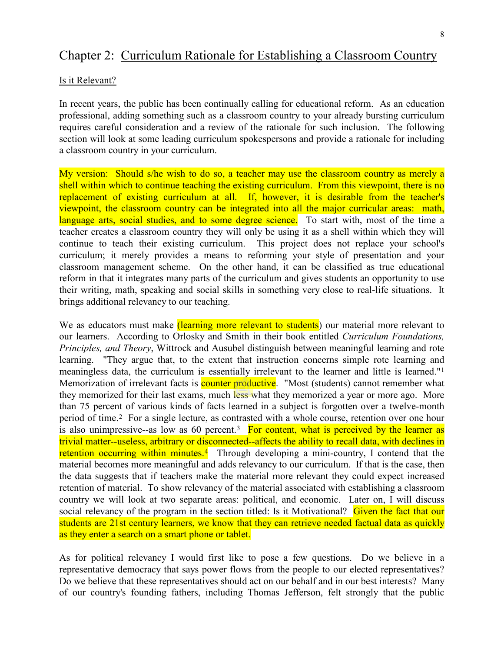## Chapter 2: Curriculum Rationale for Establishing a Classroom Country

#### Is it Relevant?

In recent years, the public has been continually calling for educational reform. As an education professional, adding something such as a classroom country to your already bursting curriculum requires careful consideration and a review of the rationale for such inclusion. The following section will look at some leading curriculum spokespersons and provide a rationale for including a classroom country in your curriculum.

My version: Should s/he wish to do so, a teacher may use the classroom country as merely a shell within which to continue teaching the existing curriculum. From this viewpoint, there is no replacement of existing curriculum at all. If, however, it is desirable from the teacher's viewpoint, the classroom country can be integrated into all the major curricular areas: math, language arts, social studies, and to some degree science. To start with, most of the time a teacher creates a classroom country they will only be using it as a shell within which they will continue to teach their existing curriculum. This project does not replace your school's curriculum; it merely provides a means to reforming your style of presentation and your classroom management scheme. On the other hand, it can be classified as true educational reform in that it integrates many parts of the curriculum and gives students an opportunity to use their writing, math, speaking and social skills in something very close to real-life situations. It brings additional relevancy to our teaching.

We as educators must make *(learning more relevant to students)* our material more relevant to our learners. According to Orlosky and Smith in their book entitled *Curriculum Foundations, Principles, and Theory*, Wittrock and Ausubel distinguish between meaningful learning and rote learning. "They argue that, to the extent that instruction concerns simple rote learning and meaningless data, the curriculum is essentially irrelevant to the learner and little is learned."[1](#page-72-0) Memorization of irrelevant facts is **counter productive**. "Most (students) cannot remember what they memorized for their last exams, much less what they memorized a year or more ago. More than 75 percent of various kinds of facts learned in a subject is forgotten over a twelve-month period of time.[2](#page-72-1) For a single lecture, as contrasted with a whole course, retention over one hour is also unimpressive--as low as 60 percent.<sup>3</sup> For content, what is perceived by the learner as trivial matter--useless, arbitrary or disconnected--affects the ability to recall data, with declines in retention occurring within minutes.<sup>4</sup> Through developing a mini-country, I contend that the material becomes more meaningful and adds relevancy to our curriculum. If that is the case, then the data suggests that if teachers make the material more relevant they could expect increased retention of material. To show relevancy of the material associated with establishing a classroom country we will look at two separate areas: political, and economic. Later on, I will discuss social relevancy of the program in the section titled: Is it Motivational? Given the fact that our students are 21st century learners, we know that they can retrieve needed factual data as quickly as they enter a search on a smart phone or tablet.

As for political relevancy I would first like to pose a few questions. Do we believe in a representative democracy that says power flows from the people to our elected representatives? Do we believe that these representatives should act on our behalf and in our best interests? Many of our country's founding fathers, including Thomas Jefferson, felt strongly that the public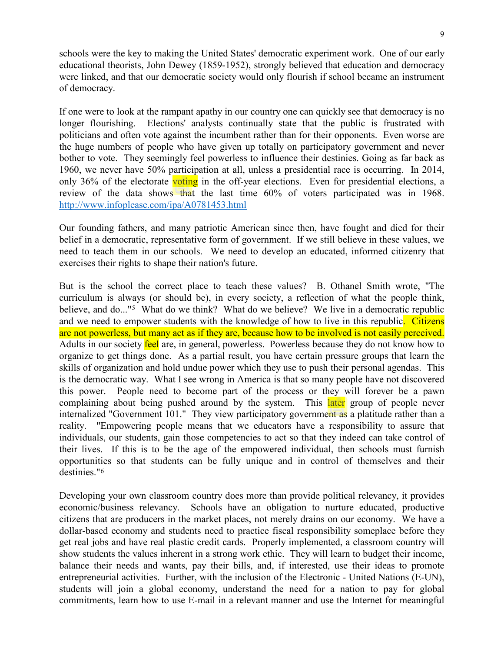schools were the key to making the United States' democratic experiment work. One of our early educational theorists, John Dewey (1859-1952), strongly believed that education and democracy were linked, and that our democratic society would only flourish if school became an instrument of democracy.

If one were to look at the rampant apathy in our country one can quickly see that democracy is no longer flourishing. Elections' analysts continually state that the public is frustrated with politicians and often vote against the incumbent rather than for their opponents. Even worse are the huge numbers of people who have given up totally on participatory government and never bother to vote. They seemingly feel powerless to influence their destinies. Going as far back as 1960, we never have 50% participation at all, unless a presidential race is occurring. In 2014, only 36% of the electorate voting in the off-year elections. Even for presidential elections, a review of the data shows that the last time 60% of voters participated was in 1968. <http://www.infoplease.com/ipa/A0781453.html>

Our founding fathers, and many patriotic American since then, have fought and died for their belief in a democratic, representative form of government. If we still believe in these values, we need to teach them in our schools. We need to develop an educated, informed citizenry that exercises their rights to shape their nation's future.

But is the school the correct place to teach these values? B. Othanel Smith wrote, "The curriculum is always (or should be), in every society, a reflection of what the people think, believe, and do..."<sup>[5](#page-72-4)</sup> What do we think? What do we believe? We live in a democratic republic and we need to empower students with the knowledge of how to live in this republic. Citizens are not powerless, but many act as if they are, because how to be involved is not easily perceived. Adults in our society feel are, in general, powerless. Powerless because they do not know how to organize to get things done. As a partial result, you have certain pressure groups that learn the skills of organization and hold undue power which they use to push their personal agendas. This is the democratic way. What I see wrong in America is that so many people have not discovered this power. People need to become part of the process or they will forever be a pawn complaining about being pushed around by the system. This later group of people never internalized "Government 101." They view participatory government as a platitude rather than a reality. "Empowering people means that we educators have a responsibility to assure that individuals, our students, gain those competencies to act so that they indeed can take control of their lives. If this is to be the age of the empowered individual, then schools must furnish opportunities so that students can be fully unique and in control of themselves and their destinies."[6](#page-72-5)

Developing your own classroom country does more than provide political relevancy, it provides economic/business relevancy. Schools have an obligation to nurture educated, productive citizens that are producers in the market places, not merely drains on our economy. We have a dollar-based economy and students need to practice fiscal responsibility someplace before they get real jobs and have real plastic credit cards. Properly implemented, a classroom country will show students the values inherent in a strong work ethic. They will learn to budget their income, balance their needs and wants, pay their bills, and, if interested, use their ideas to promote entrepreneurial activities. Further, with the inclusion of the Electronic - United Nations (E-UN), students will join a global economy, understand the need for a nation to pay for global commitments, learn how to use E-mail in a relevant manner and use the Internet for meaningful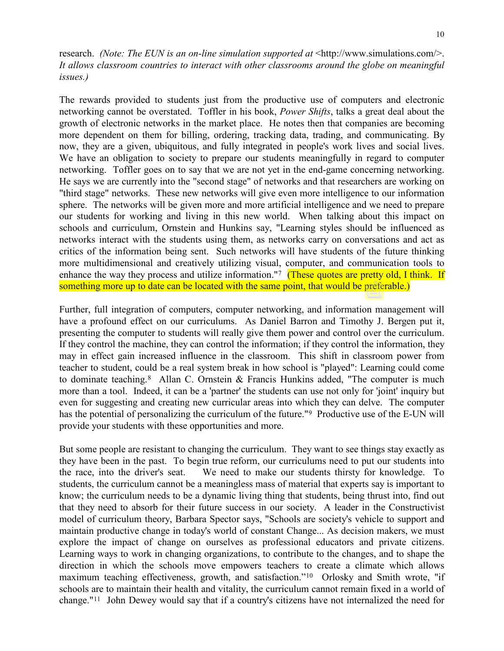research. *(Note: The EUN is an on-line simulation supported at* <http://www.simulations.com/>. *It allows classroom countries to interact with other classrooms around the globe on meaningful issues.)*

The rewards provided to students just from the productive use of computers and electronic networking cannot be overstated. Toffler in his book, *Power Shifts*, talks a great deal about the growth of electronic networks in the market place. He notes then that companies are becoming more dependent on them for billing, ordering, tracking data, trading, and communicating. By now, they are a given, ubiquitous, and fully integrated in people's work lives and social lives. We have an obligation to society to prepare our students meaningfully in regard to computer networking. Toffler goes on to say that we are not yet in the end-game concerning networking. He says we are currently into the "second stage" of networks and that researchers are working on "third stage" networks. These new networks will give even more intelligence to our information sphere. The networks will be given more and more artificial intelligence and we need to prepare our students for working and living in this new world. When talking about this impact on schools and curriculum, Ornstein and Hunkins say, "Learning styles should be influenced as networks interact with the students using them, as networks carry on conversations and act as critics of the information being sent. Such networks will have students of the future thinking more multidimensional and creatively utilizing visual, computer, and communication tools to enhance the way they process and utilize information."<sup>[7](#page-72-6)</sup> (These quotes are pretty old, I think. If something more up to date can be located with the same point, that would be preferable.)

Further, full integration of computers, computer networking, and information management will have a profound effect on our curriculums. As Daniel Barron and Timothy J. Bergen put it, presenting the computer to students will really give them power and control over the curriculum. If they control the machine, they can control the information; if they control the information, they may in effect gain increased influence in the classroom. This shift in classroom power from teacher to student, could be a real system break in how school is "played": Learning could come to dominate teaching.<sup>8</sup> Allan C. Ornstein & Francis Hunkins added, "The computer is much more than a tool. Indeed, it can be a 'partner' the students can use not only for 'joint' inquiry but even for suggesting and creating new curricular areas into which they can delve. The computer has the potential of personalizing the curriculum of the future."<sup>[9](#page-72-8)</sup> Productive use of the E-UN will provide your students with these opportunities and more.

But some people are resistant to changing the curriculum. They want to see things stay exactly as they have been in the past. To begin true reform, our curriculums need to put our students into the race, into the driver's seat. We need to make our students thirsty for knowledge. To students, the curriculum cannot be a meaningless mass of material that experts say is important to know; the curriculum needs to be a dynamic living thing that students, being thrust into, find out that they need to absorb for their future success in our society. A leader in the Constructivist model of curriculum theory, Barbara Spector says, "Schools are society's vehicle to support and maintain productive change in today's world of constant Change... As decision makers, we must explore the impact of change on ourselves as professional educators and private citizens. Learning ways to work in changing organizations, to contribute to the changes, and to shape the direction in which the schools move empowers teachers to create a climate which allows maximum teaching effectiveness, growth, and satisfaction."[10](#page-72-9) Orlosky and Smith wrote, "if schools are to maintain their health and vitality, the curriculum cannot remain fixed in a world of change."[11](#page-72-10) John Dewey would say that if a country's citizens have not internalized the need for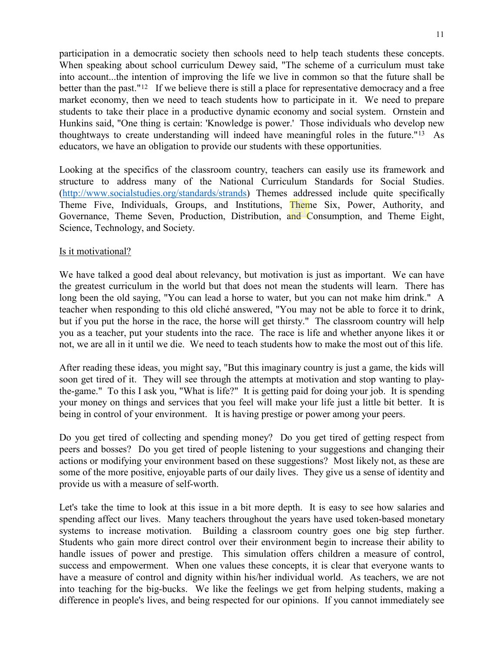participation in a democratic society then schools need to help teach students these concepts. When speaking about school curriculum Dewey said, "The scheme of a curriculum must take into account...the intention of improving the life we live in common so that the future shall be better than the past."<sup>12</sup> If we believe there is still a place for representative democracy and a free market economy, then we need to teach students how to participate in it. We need to prepare students to take their place in a productive dynamic economy and social system. Ornstein and Hunkins said, "One thing is certain: 'Knowledge is power.' Those individuals who develop new thoughtways to create understanding will indeed have meaningful roles in the future."[13](#page-72-12) As educators, we have an obligation to provide our students with these opportunities.

Looking at the specifics of the classroom country, teachers can easily use its framework and structure to address many of the National Curriculum Standards for Social Studies. [\(http://www.socialstudies.org/standards/strands\)](http://www.socialstudies.org/standards/strands) Themes addressed include quite specifically Theme Five, Individuals, Groups, and Institutions, Theme Six, Power, Authority, and Governance, Theme Seven, Production, Distribution, and Consumption, and Theme Eight, Science, Technology, and Society.

#### Is it motivational?

We have talked a good deal about relevancy, but motivation is just as important. We can have the greatest curriculum in the world but that does not mean the students will learn. There has long been the old saying, "You can lead a horse to water, but you can not make him drink." A teacher when responding to this old cliché answered, "You may not be able to force it to drink, but if you put the horse in the race, the horse will get thirsty." The classroom country will help you as a teacher, put your students into the race. The race is life and whether anyone likes it or not, we are all in it until we die. We need to teach students how to make the most out of this life.

After reading these ideas, you might say, "But this imaginary country is just a game, the kids will soon get tired of it. They will see through the attempts at motivation and stop wanting to playthe-game." To this I ask you, "What is life?" It is getting paid for doing your job. It is spending your money on things and services that you feel will make your life just a little bit better. It is being in control of your environment. It is having prestige or power among your peers.

Do you get tired of collecting and spending money? Do you get tired of getting respect from peers and bosses? Do you get tired of people listening to your suggestions and changing their actions or modifying your environment based on these suggestions? Most likely not, as these are some of the more positive, enjoyable parts of our daily lives. They give us a sense of identity and provide us with a measure of self-worth.

Let's take the time to look at this issue in a bit more depth. It is easy to see how salaries and spending affect our lives. Many teachers throughout the years have used token-based monetary systems to increase motivation. Building a classroom country goes one big step further. Students who gain more direct control over their environment begin to increase their ability to handle issues of power and prestige. This simulation offers children a measure of control, success and empowerment. When one values these concepts, it is clear that everyone wants to have a measure of control and dignity within his/her individual world. As teachers, we are not into teaching for the big-bucks. We like the feelings we get from helping students, making a difference in people's lives, and being respected for our opinions. If you cannot immediately see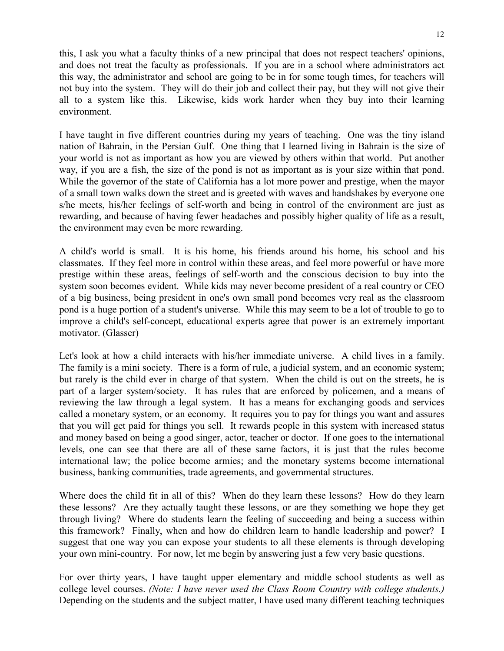this, I ask you what a faculty thinks of a new principal that does not respect teachers' opinions, and does not treat the faculty as professionals. If you are in a school where administrators act this way, the administrator and school are going to be in for some tough times, for teachers will not buy into the system. They will do their job and collect their pay, but they will not give their all to a system like this. Likewise, kids work harder when they buy into their learning environment.

I have taught in five different countries during my years of teaching. One was the tiny island nation of Bahrain, in the Persian Gulf. One thing that I learned living in Bahrain is the size of your world is not as important as how you are viewed by others within that world. Put another way, if you are a fish, the size of the pond is not as important as is your size within that pond. While the governor of the state of California has a lot more power and prestige, when the mayor of a small town walks down the street and is greeted with waves and handshakes by everyone one s/he meets, his/her feelings of self-worth and being in control of the environment are just as rewarding, and because of having fewer headaches and possibly higher quality of life as a result, the environment may even be more rewarding.

A child's world is small. It is his home, his friends around his home, his school and his classmates. If they feel more in control within these areas, and feel more powerful or have more prestige within these areas, feelings of self-worth and the conscious decision to buy into the system soon becomes evident. While kids may never become president of a real country or CEO of a big business, being president in one's own small pond becomes very real as the classroom pond is a huge portion of a student's universe. While this may seem to be a lot of trouble to go to improve a child's self-concept, educational experts agree that power is an extremely important motivator. (Glasser)

Let's look at how a child interacts with his/her immediate universe. A child lives in a family. The family is a mini society. There is a form of rule, a judicial system, and an economic system; but rarely is the child ever in charge of that system. When the child is out on the streets, he is part of a larger system/society. It has rules that are enforced by policemen, and a means of reviewing the law through a legal system. It has a means for exchanging goods and services called a monetary system, or an economy. It requires you to pay for things you want and assures that you will get paid for things you sell. It rewards people in this system with increased status and money based on being a good singer, actor, teacher or doctor. If one goes to the international levels, one can see that there are all of these same factors, it is just that the rules become international law; the police become armies; and the monetary systems become international business, banking communities, trade agreements, and governmental structures.

Where does the child fit in all of this? When do they learn these lessons? How do they learn these lessons? Are they actually taught these lessons, or are they something we hope they get through living? Where do students learn the feeling of succeeding and being a success within this framework? Finally, when and how do children learn to handle leadership and power? I suggest that one way you can expose your students to all these elements is through developing your own mini-country. For now, let me begin by answering just a few very basic questions.

For over thirty years, I have taught upper elementary and middle school students as well as college level courses. *(Note: I have never used the Class Room Country with college students.)* Depending on the students and the subject matter, I have used many different teaching techniques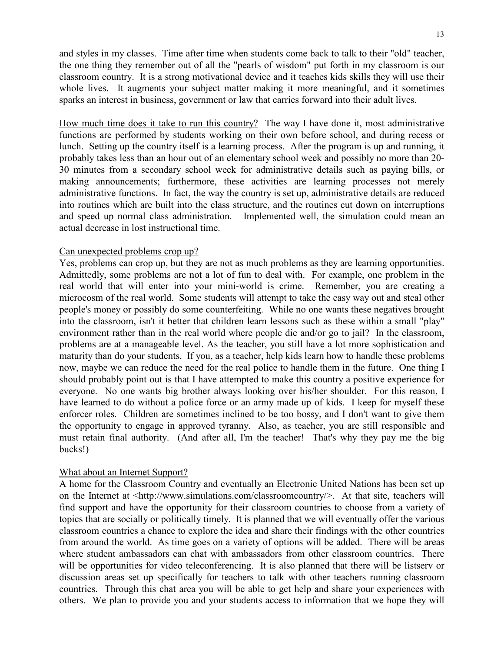and styles in my classes. Time after time when students come back to talk to their "old" teacher, the one thing they remember out of all the "pearls of wisdom" put forth in my classroom is our classroom country. It is a strong motivational device and it teaches kids skills they will use their whole lives. It augments your subject matter making it more meaningful, and it sometimes sparks an interest in business, government or law that carries forward into their adult lives.

How much time does it take to run this country? The way I have done it, most administrative functions are performed by students working on their own before school, and during recess or lunch. Setting up the country itself is a learning process. After the program is up and running, it probably takes less than an hour out of an elementary school week and possibly no more than 20- 30 minutes from a secondary school week for administrative details such as paying bills, or making announcements; furthermore, these activities are learning processes not merely administrative functions. In fact, the way the country is set up, administrative details are reduced into routines which are built into the class structure, and the routines cut down on interruptions and speed up normal class administration. Implemented well, the simulation could mean an actual decrease in lost instructional time.

#### Can unexpected problems crop up?

Yes, problems can crop up, but they are not as much problems as they are learning opportunities. Admittedly, some problems are not a lot of fun to deal with. For example, one problem in the real world that will enter into your mini-world is crime. Remember, you are creating a microcosm of the real world. Some students will attempt to take the easy way out and steal other people's money or possibly do some counterfeiting. While no one wants these negatives brought into the classroom, isn't it better that children learn lessons such as these within a small "play" environment rather than in the real world where people die and/or go to jail? In the classroom, problems are at a manageable level. As the teacher, you still have a lot more sophistication and maturity than do your students. If you, as a teacher, help kids learn how to handle these problems now, maybe we can reduce the need for the real police to handle them in the future. One thing I should probably point out is that I have attempted to make this country a positive experience for everyone. No one wants big brother always looking over his/her shoulder. For this reason, I have learned to do without a police force or an army made up of kids. I keep for myself these enforcer roles. Children are sometimes inclined to be too bossy, and I don't want to give them the opportunity to engage in approved tyranny. Also, as teacher, you are still responsible and must retain final authority. (And after all, I'm the teacher! That's why they pay me the big bucks!)

#### What about an Internet Support?

A home for the Classroom Country and eventually an Electronic United Nations has been set up on the Internet at <http://www.simulations.com/classroomcountry/>. At that site, teachers will find support and have the opportunity for their classroom countries to choose from a variety of topics that are socially or politically timely. It is planned that we will eventually offer the various classroom countries a chance to explore the idea and share their findings with the other countries from around the world. As time goes on a variety of options will be added. There will be areas where student ambassadors can chat with ambassadors from other classroom countries. There will be opportunities for video teleconferencing. It is also planned that there will be listserv or discussion areas set up specifically for teachers to talk with other teachers running classroom countries. Through this chat area you will be able to get help and share your experiences with others. We plan to provide you and your students access to information that we hope they will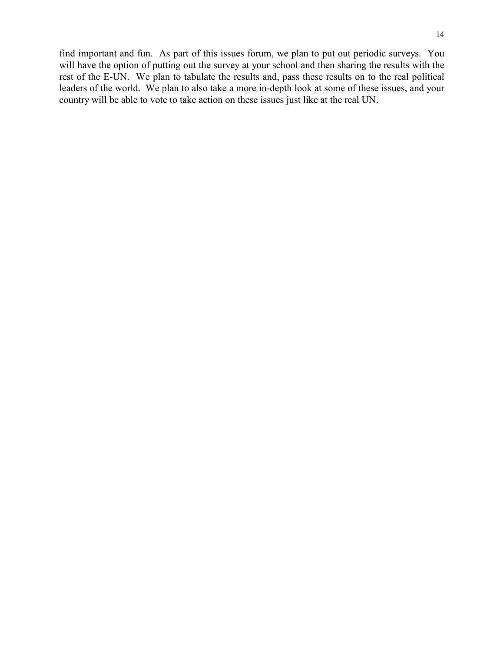find important and fun. As part of this issues forum, we plan to put out periodic surveys. You will have the option of putting out the survey at your school and then sharing the results with the rest of the E-UN. We plan to tabulate the results and, pass these results on to the real political leaders of the world. We plan to also take a more in-depth look at some of these issues, and your country will be able to vote to take action on these issues just like at the real UN.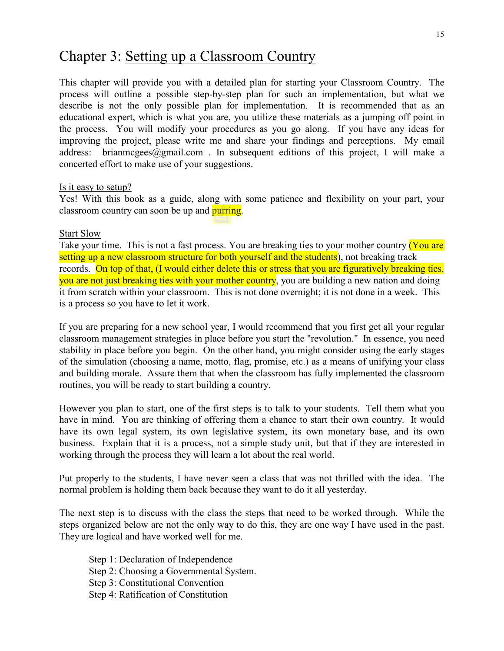# Chapter 3: Setting up a Classroom Country

This chapter will provide you with a detailed plan for starting your Classroom Country. The process will outline a possible step-by-step plan for such an implementation, but what we describe is not the only possible plan for implementation. It is recommended that as an educational expert, which is what you are, you utilize these materials as a jumping off point in the process. You will modify your procedures as you go along. If you have any ideas for improving the project, please write me and share your findings and perceptions. My email address: brianmcgees@gmail.com . In subsequent editions of this project, I will make a concerted effort to make use of your suggestions.

#### Is it easy to setup?

Yes! With this book as a guide, along with some patience and flexibility on your part, your classroom country can soon be up and purring.

#### Start Slow

Take your time. This is not a fast process. You are breaking ties to your mother country (You are setting up a new classroom structure for both yourself and the students), not breaking track records. On top of that, (I would either delete this or stress that you are figuratively breaking ties. you are not just breaking ties with your mother country, you are building a new nation and doing it from scratch within your classroom. This is not done overnight; it is not done in a week. This is a process so you have to let it work.

If you are preparing for a new school year, I would recommend that you first get all your regular classroom management strategies in place before you start the "revolution." In essence, you need stability in place before you begin. On the other hand, you might consider using the early stages of the simulation (choosing a name, motto, flag, promise, etc.) as a means of unifying your class and building morale. Assure them that when the classroom has fully implemented the classroom routines, you will be ready to start building a country.

However you plan to start, one of the first steps is to talk to your students. Tell them what you have in mind. You are thinking of offering them a chance to start their own country. It would have its own legal system, its own legislative system, its own monetary base, and its own business. Explain that it is a process, not a simple study unit, but that if they are interested in working through the process they will learn a lot about the real world.

Put properly to the students, I have never seen a class that was not thrilled with the idea. The normal problem is holding them back because they want to do it all yesterday.

The next step is to discuss with the class the steps that need to be worked through. While the steps organized below are not the only way to do this, they are one way I have used in the past. They are logical and have worked well for me.

Step 1: Declaration of Independence Step 2: Choosing a Governmental System. Step 3: Constitutional Convention Step 4: Ratification of Constitution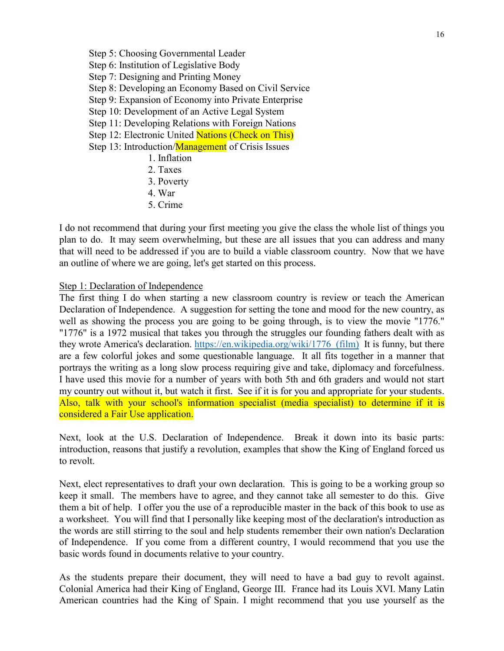- Step 5: Choosing Governmental Leader Step 6: Institution of Legislative Body Step 7: Designing and Printing Money Step 8: Developing an Economy Based on Civil Service Step 9: Expansion of Economy into Private Enterprise Step 10: Development of an Active Legal System Step 11: Developing Relations with Foreign Nations Step 12: Electronic United Nations (Check on This) Step 13: Introduction/Management of Crisis Issues 1. Inflation 2. Taxes 3. Poverty
	- 4. War
	- 5. Crime

I do not recommend that during your first meeting you give the class the whole list of things you plan to do. It may seem overwhelming, but these are all issues that you can address and many that will need to be addressed if you are to build a viable classroom country. Now that we have an outline of where we are going, let's get started on this process.

#### Step 1: Declaration of Independence

The first thing I do when starting a new classroom country is review or teach the American Declaration of Independence. A suggestion for setting the tone and mood for the new country, as well as showing the process you are going to be going through, is to view the movie "1776." "1776" is a 1972 musical that takes you through the struggles our founding fathers dealt with as they wrote America's declaration. https://en.wikipedia.org/wiki/1776 (film) It is funny, but there are a few colorful jokes and some questionable language. It all fits together in a manner that portrays the writing as a long slow process requiring give and take, diplomacy and forcefulness. I have used this movie for a number of years with both 5th and 6th graders and would not start my country out without it, but watch it first. See if it is for you and appropriate for your students. Also, talk with your school's information specialist (media specialist) to determine if it is considered a Fair Use application.

Next, look at the U.S. Declaration of Independence. Break it down into its basic parts: introduction, reasons that justify a revolution, examples that show the King of England forced us to revolt.

Next, elect representatives to draft your own declaration. This is going to be a working group so keep it small. The members have to agree, and they cannot take all semester to do this. Give them a bit of help. I offer you the use of a reproducible master in the back of this book to use as a worksheet. You will find that I personally like keeping most of the declaration's introduction as the words are still stirring to the soul and help students remember their own nation's Declaration of Independence. If you come from a different country, I would recommend that you use the basic words found in documents relative to your country.

As the students prepare their document, they will need to have a bad guy to revolt against. Colonial America had their King of England, George III. France had its Louis XVI. Many Latin American countries had the King of Spain. I might recommend that you use yourself as the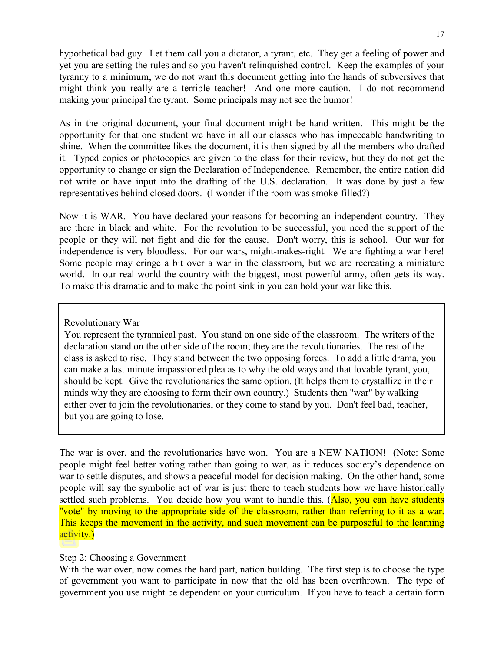hypothetical bad guy. Let them call you a dictator, a tyrant, etc. They get a feeling of power and yet you are setting the rules and so you haven't relinquished control. Keep the examples of your tyranny to a minimum, we do not want this document getting into the hands of subversives that might think you really are a terrible teacher! And one more caution. I do not recommend making your principal the tyrant. Some principals may not see the humor!

As in the original document, your final document might be hand written. This might be the opportunity for that one student we have in all our classes who has impeccable handwriting to shine. When the committee likes the document, it is then signed by all the members who drafted it. Typed copies or photocopies are given to the class for their review, but they do not get the opportunity to change or sign the Declaration of Independence. Remember, the entire nation did not write or have input into the drafting of the U.S. declaration. It was done by just a few representatives behind closed doors. (I wonder if the room was smoke-filled?)

Now it is WAR. You have declared your reasons for becoming an independent country. They are there in black and white. For the revolution to be successful, you need the support of the people or they will not fight and die for the cause. Don't worry, this is school. Our war for independence is very bloodless. For our wars, might-makes-right. We are fighting a war here! Some people may cringe a bit over a war in the classroom, but we are recreating a miniature world. In our real world the country with the biggest, most powerful army, often gets its way. To make this dramatic and to make the point sink in you can hold your war like this.

#### Revolutionary War

You represent the tyrannical past. You stand on one side of the classroom. The writers of the declaration stand on the other side of the room; they are the revolutionaries. The rest of the class is asked to rise. They stand between the two opposing forces. To add a little drama, you can make a last minute impassioned plea as to why the old ways and that lovable tyrant, you, should be kept. Give the revolutionaries the same option. (It helps them to crystallize in their minds why they are choosing to form their own country.) Students then "war" by walking either over to join the revolutionaries, or they come to stand by you. Don't feel bad, teacher, but you are going to lose.

The war is over, and the revolutionaries have won. You are a NEW NATION! (Note: Some people might feel better voting rather than going to war, as it reduces society's dependence on war to settle disputes, and shows a peaceful model for decision making. On the other hand, some people will say the symbolic act of war is just there to teach students how we have historically settled such problems. You decide how you want to handle this. (Also, you can have students "vote" by moving to the appropriate side of the classroom, rather than referring to it as a war. This keeps the movement in the activity, and such movement can be purposeful to the learning activity.)

#### Step 2: Choosing a Government

With the war over, now comes the hard part, nation building. The first step is to choose the type of government you want to participate in now that the old has been overthrown. The type of government you use might be dependent on your curriculum. If you have to teach a certain form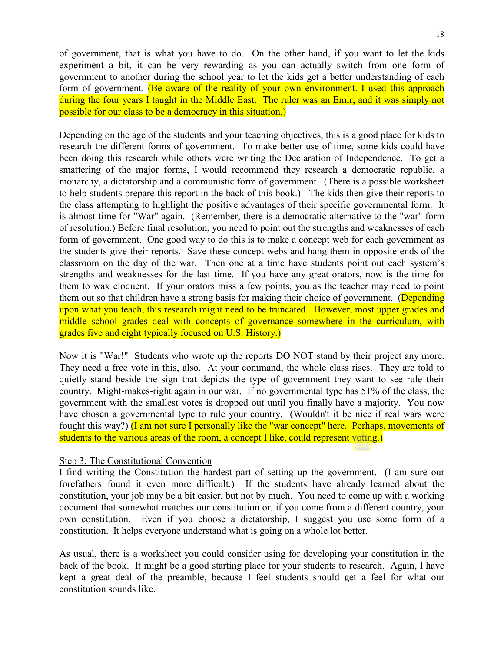of government, that is what you have to do. On the other hand, if you want to let the kids experiment a bit, it can be very rewarding as you can actually switch from one form of government to another during the school year to let the kids get a better understanding of each form of government. (Be aware of the reality of your own environment. I used this approach during the four years I taught in the Middle East. The ruler was an Emir, and it was simply not possible for our class to be a democracy in this situation.)

Depending on the age of the students and your teaching objectives, this is a good place for kids to research the different forms of government. To make better use of time, some kids could have been doing this research while others were writing the Declaration of Independence. To get a smattering of the major forms, I would recommend they research a democratic republic, a monarchy, a dictatorship and a communistic form of government. (There is a possible worksheet to help students prepare this report in the back of this book.) The kids then give their reports to the class attempting to highlight the positive advantages of their specific governmental form. It is almost time for "War" again. (Remember, there is a democratic alternative to the "war" form of resolution.) Before final resolution, you need to point out the strengths and weaknesses of each form of government. One good way to do this is to make a concept web for each government as the students give their reports. Save these concept webs and hang them in opposite ends of the classroom on the day of the war. Then one at a time have students point out each system's strengths and weaknesses for the last time. If you have any great orators, now is the time for them to wax eloquent. If your orators miss a few points, you as the teacher may need to point them out so that children have a strong basis for making their choice of government. (Depending upon what you teach, this research might need to be truncated. However, most upper grades and middle school grades deal with concepts of governance somewhere in the curriculum, with grades five and eight typically focused on U.S. History.)

Now it is "War!" Students who wrote up the reports DO NOT stand by their project any more. They need a free vote in this, also. At your command, the whole class rises. They are told to quietly stand beside the sign that depicts the type of government they want to see rule their country. Might-makes-right again in our war. If no governmental type has 51% of the class, the government with the smallest votes is dropped out until you finally have a majority. You now have chosen a governmental type to rule your country. (Wouldn't it be nice if real wars were fought this way?) (I am not sure I personally like the "war concept" here. Perhaps, movements of students to the various areas of the room, a concept I like, could represent voting.)

#### Step 3: The Constitutional Convention

I find writing the Constitution the hardest part of setting up the government. (I am sure our forefathers found it even more difficult.) If the students have already learned about the constitution, your job may be a bit easier, but not by much. You need to come up with a working document that somewhat matches our constitution or, if you come from a different country, your own constitution. Even if you choose a dictatorship, I suggest you use some form of a constitution. It helps everyone understand what is going on a whole lot better.

As usual, there is a worksheet you could consider using for developing your constitution in the back of the book. It might be a good starting place for your students to research. Again, I have kept a great deal of the preamble, because I feel students should get a feel for what our constitution sounds like.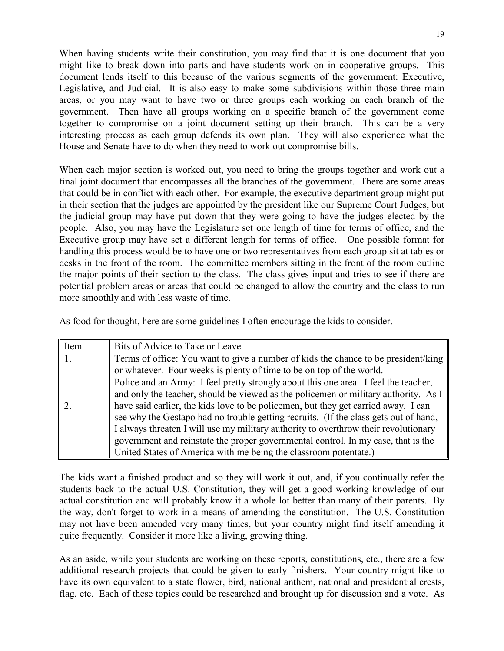When having students write their constitution, you may find that it is one document that you might like to break down into parts and have students work on in cooperative groups. This document lends itself to this because of the various segments of the government: Executive, Legislative, and Judicial. It is also easy to make some subdivisions within those three main areas, or you may want to have two or three groups each working on each branch of the government. Then have all groups working on a specific branch of the government come together to compromise on a joint document setting up their branch. This can be a very interesting process as each group defends its own plan. They will also experience what the House and Senate have to do when they need to work out compromise bills.

When each major section is worked out, you need to bring the groups together and work out a final joint document that encompasses all the branches of the government. There are some areas that could be in conflict with each other. For example, the executive department group might put in their section that the judges are appointed by the president like our Supreme Court Judges, but the judicial group may have put down that they were going to have the judges elected by the people. Also, you may have the Legislature set one length of time for terms of office, and the Executive group may have set a different length for terms of office. One possible format for handling this process would be to have one or two representatives from each group sit at tables or desks in the front of the room. The committee members sitting in the front of the room outline the major points of their section to the class. The class gives input and tries to see if there are potential problem areas or areas that could be changed to allow the country and the class to run more smoothly and with less waste of time.

As food for thought, here are some guidelines I often encourage the kids to consider.

| Item | Bits of Advice to Take or Leave                                                      |
|------|--------------------------------------------------------------------------------------|
|      | Terms of office: You want to give a number of kids the chance to be president/king   |
|      | or whatever. Four weeks is plenty of time to be on top of the world.                 |
|      | Police and an Army: I feel pretty strongly about this one area. I feel the teacher,  |
|      | and only the teacher, should be viewed as the policemen or military authority. As I  |
|      | have said earlier, the kids love to be policemen, but they get carried away. I can   |
|      | see why the Gestapo had no trouble getting recruits. (If the class gets out of hand, |
|      | I always threaten I will use my military authority to overthrow their revolutionary  |
|      | government and reinstate the proper governmental control. In my case, that is the    |
|      | United States of America with me being the classroom potentate.)                     |

The kids want a finished product and so they will work it out, and, if you continually refer the students back to the actual U.S. Constitution, they will get a good working knowledge of our actual constitution and will probably know it a whole lot better than many of their parents. By the way, don't forget to work in a means of amending the constitution. The U.S. Constitution may not have been amended very many times, but your country might find itself amending it quite frequently. Consider it more like a living, growing thing.

As an aside, while your students are working on these reports, constitutions, etc., there are a few additional research projects that could be given to early finishers. Your country might like to have its own equivalent to a state flower, bird, national anthem, national and presidential crests, flag, etc. Each of these topics could be researched and brought up for discussion and a vote. As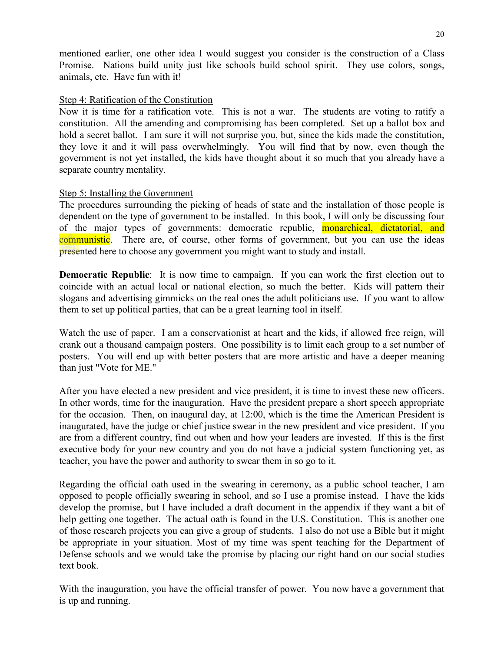mentioned earlier, one other idea I would suggest you consider is the construction of a Class Promise. Nations build unity just like schools build school spirit. They use colors, songs, animals, etc. Have fun with it!

#### Step 4: Ratification of the Constitution

Now it is time for a ratification vote. This is not a war. The students are voting to ratify a constitution. All the amending and compromising has been completed. Set up a ballot box and hold a secret ballot. I am sure it will not surprise you, but, since the kids made the constitution, they love it and it will pass overwhelmingly. You will find that by now, even though the government is not yet installed, the kids have thought about it so much that you already have a separate country mentality.

#### Step 5: Installing the Government

The procedures surrounding the picking of heads of state and the installation of those people is dependent on the type of government to be installed. In this book, I will only be discussing four of the major types of governments: democratic republic, monarchical, dictatorial, and communistic. There are, of course, other forms of government, but you can use the ideas presented here to choose any government you might want to study and install.

**Democratic Republic:** It is now time to campaign. If you can work the first election out to coincide with an actual local or national election, so much the better. Kids will pattern their slogans and advertising gimmicks on the real ones the adult politicians use. If you want to allow them to set up political parties, that can be a great learning tool in itself.

Watch the use of paper. I am a conservationist at heart and the kids, if allowed free reign, will crank out a thousand campaign posters. One possibility is to limit each group to a set number of posters. You will end up with better posters that are more artistic and have a deeper meaning than just "Vote for ME."

After you have elected a new president and vice president, it is time to invest these new officers. In other words, time for the inauguration. Have the president prepare a short speech appropriate for the occasion. Then, on inaugural day, at 12:00, which is the time the American President is inaugurated, have the judge or chief justice swear in the new president and vice president. If you are from a different country, find out when and how your leaders are invested. If this is the first executive body for your new country and you do not have a judicial system functioning yet, as teacher, you have the power and authority to swear them in so go to it.

Regarding the official oath used in the swearing in ceremony, as a public school teacher, I am opposed to people officially swearing in school, and so I use a promise instead. I have the kids develop the promise, but I have included a draft document in the appendix if they want a bit of help getting one together. The actual oath is found in the U.S. Constitution. This is another one of those research projects you can give a group of students. I also do not use a Bible but it might be appropriate in your situation. Most of my time was spent teaching for the Department of Defense schools and we would take the promise by placing our right hand on our social studies text book.

With the inauguration, you have the official transfer of power. You now have a government that is up and running.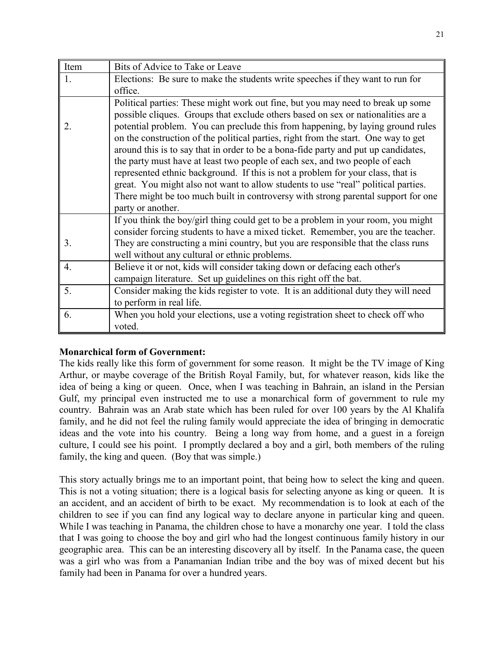| Item             | Bits of Advice to Take or Leave                                                    |
|------------------|------------------------------------------------------------------------------------|
| 1.               | Elections: Be sure to make the students write speeches if they want to run for     |
|                  | office.                                                                            |
|                  | Political parties: These might work out fine, but you may need to break up some    |
|                  | possible cliques. Groups that exclude others based on sex or nationalities are a   |
| 2.               | potential problem. You can preclude this from happening, by laying ground rules    |
|                  | on the construction of the political parties, right from the start. One way to get |
|                  | around this is to say that in order to be a bona-fide party and put up candidates, |
|                  | the party must have at least two people of each sex, and two people of each        |
|                  | represented ethnic background. If this is not a problem for your class, that is    |
|                  | great. You might also not want to allow students to use "real" political parties.  |
|                  | There might be too much built in controversy with strong parental support for one  |
|                  | party or another.                                                                  |
|                  | If you think the boy/girl thing could get to be a problem in your room, you might  |
|                  | consider forcing students to have a mixed ticket. Remember, you are the teacher.   |
| 3.               | They are constructing a mini country, but you are responsible that the class runs  |
|                  | well without any cultural or ethnic problems.                                      |
| $\overline{4}$ . | Believe it or not, kids will consider taking down or defacing each other's         |
|                  | campaign literature. Set up guidelines on this right off the bat.                  |
| 5.               | Consider making the kids register to vote. It is an additional duty they will need |
|                  | to perform in real life.                                                           |
| 6.               | When you hold your elections, use a voting registration sheet to check off who     |
|                  | voted.                                                                             |

#### **Monarchical form of Government:**

The kids really like this form of government for some reason. It might be the TV image of King Arthur, or maybe coverage of the British Royal Family, but, for whatever reason, kids like the idea of being a king or queen. Once, when I was teaching in Bahrain, an island in the Persian Gulf, my principal even instructed me to use a monarchical form of government to rule my country. Bahrain was an Arab state which has been ruled for over 100 years by the Al Khalifa family, and he did not feel the ruling family would appreciate the idea of bringing in democratic ideas and the vote into his country. Being a long way from home, and a guest in a foreign culture, I could see his point. I promptly declared a boy and a girl, both members of the ruling family, the king and queen. (Boy that was simple.)

This story actually brings me to an important point, that being how to select the king and queen. This is not a voting situation; there is a logical basis for selecting anyone as king or queen. It is an accident, and an accident of birth to be exact. My recommendation is to look at each of the children to see if you can find any logical way to declare anyone in particular king and queen. While I was teaching in Panama, the children chose to have a monarchy one year. I told the class that I was going to choose the boy and girl who had the longest continuous family history in our geographic area. This can be an interesting discovery all by itself. In the Panama case, the queen was a girl who was from a Panamanian Indian tribe and the boy was of mixed decent but his family had been in Panama for over a hundred years.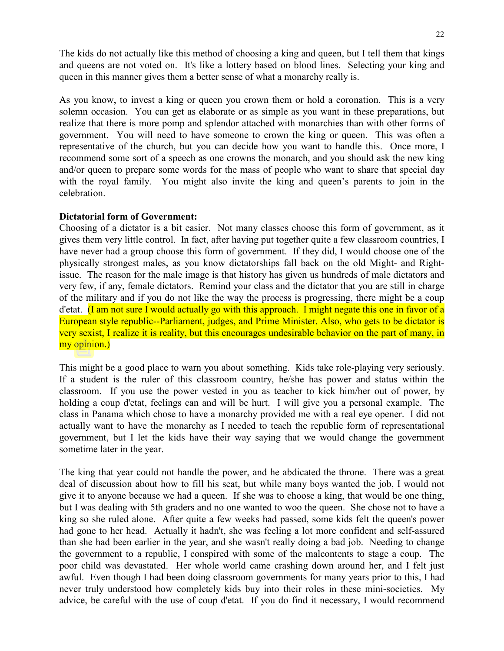The kids do not actually like this method of choosing a king and queen, but I tell them that kings and queens are not voted on. It's like a lottery based on blood lines. Selecting your king and queen in this manner gives them a better sense of what a monarchy really is.

As you know, to invest a king or queen you crown them or hold a coronation. This is a very solemn occasion. You can get as elaborate or as simple as you want in these preparations, but realize that there is more pomp and splendor attached with monarchies than with other forms of government. You will need to have someone to crown the king or queen. This was often a representative of the church, but you can decide how you want to handle this. Once more, I recommend some sort of a speech as one crowns the monarch, and you should ask the new king and/or queen to prepare some words for the mass of people who want to share that special day with the royal family. You might also invite the king and queen's parents to join in the celebration.

#### **Dictatorial form of Government:**

Choosing of a dictator is a bit easier. Not many classes choose this form of government, as it gives them very little control. In fact, after having put together quite a few classroom countries, I have never had a group choose this form of government. If they did, I would choose one of the physically strongest males, as you know dictatorships fall back on the old Might- and Rightissue. The reason for the male image is that history has given us hundreds of male dictators and very few, if any, female dictators. Remind your class and the dictator that you are still in charge of the military and if you do not like the way the process is progressing, there might be a coup d'etat. (I am not sure I would actually go with this approach. I might negate this one in favor of a European style republic--Parliament, judges, and Prime Minister. Also, who gets to be dictator is very sexist, I realize it is reality, but this encourages undesirable behavior on the part of many, in my opinion.)

This might be a good place to warn you about something. Kids take role-playing very seriously. If a student is the ruler of this classroom country, he/she has power and status within the classroom. If you use the power vested in you as teacher to kick him/her out of power, by holding a coup d'etat, feelings can and will be hurt. I will give you a personal example. The class in Panama which chose to have a monarchy provided me with a real eye opener. I did not actually want to have the monarchy as I needed to teach the republic form of representational government, but I let the kids have their way saying that we would change the government sometime later in the year.

The king that year could not handle the power, and he abdicated the throne. There was a great deal of discussion about how to fill his seat, but while many boys wanted the job, I would not give it to anyone because we had a queen. If she was to choose a king, that would be one thing, but I was dealing with 5th graders and no one wanted to woo the queen. She chose not to have a king so she ruled alone. After quite a few weeks had passed, some kids felt the queen's power had gone to her head. Actually it hadn't, she was feeling a lot more confident and self-assured than she had been earlier in the year, and she wasn't really doing a bad job. Needing to change the government to a republic, I conspired with some of the malcontents to stage a coup. The poor child was devastated. Her whole world came crashing down around her, and I felt just awful. Even though I had been doing classroom governments for many years prior to this, I had never truly understood how completely kids buy into their roles in these mini-societies. My advice, be careful with the use of coup d'etat. If you do find it necessary, I would recommend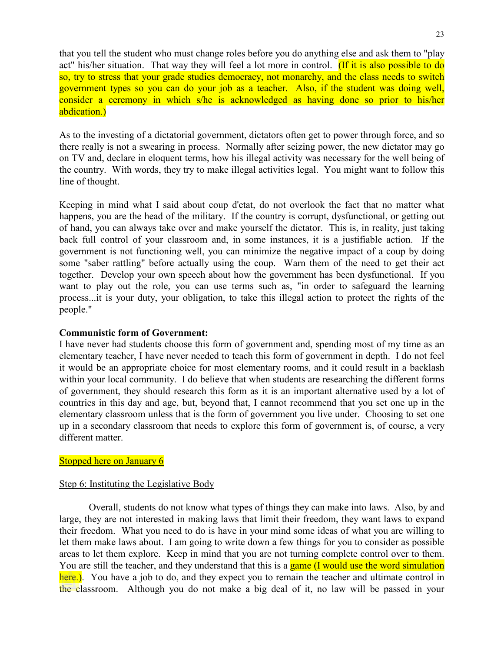that you tell the student who must change roles before you do anything else and ask them to "play act" his/her situation. That way they will feel a lot more in control. (If it is also possible to do so, try to stress that your grade studies democracy, not monarchy, and the class needs to switch government types so you can do your job as a teacher. Also, if the student was doing well, consider a ceremony in which s/he is acknowledged as having done so prior to his/her abdication.)

As to the investing of a dictatorial government, dictators often get to power through force, and so there really is not a swearing in process. Normally after seizing power, the new dictator may go on TV and, declare in eloquent terms, how his illegal activity was necessary for the well being of the country. With words, they try to make illegal activities legal. You might want to follow this line of thought.

Keeping in mind what I said about coup d'etat, do not overlook the fact that no matter what happens, you are the head of the military. If the country is corrupt, dysfunctional, or getting out of hand, you can always take over and make yourself the dictator. This is, in reality, just taking back full control of your classroom and, in some instances, it is a justifiable action. If the government is not functioning well, you can minimize the negative impact of a coup by doing some "saber rattling" before actually using the coup. Warn them of the need to get their act together. Develop your own speech about how the government has been dysfunctional. If you want to play out the role, you can use terms such as, "in order to safeguard the learning process...it is your duty, your obligation, to take this illegal action to protect the rights of the people."

#### **Communistic form of Government:**

I have never had students choose this form of government and, spending most of my time as an elementary teacher, I have never needed to teach this form of government in depth. I do not feel it would be an appropriate choice for most elementary rooms, and it could result in a backlash within your local community. I do believe that when students are researching the different forms of government, they should research this form as it is an important alternative used by a lot of countries in this day and age, but, beyond that, I cannot recommend that you set one up in the elementary classroom unless that is the form of government you live under. Choosing to set one up in a secondary classroom that needs to explore this form of government is, of course, a very different matter.

#### Stopped here on January 6

#### Step 6: Instituting the Legislative Body

Overall, students do not know what types of things they can make into laws. Also, by and large, they are not interested in making laws that limit their freedom, they want laws to expand their freedom. What you need to do is have in your mind some ideas of what you are willing to let them make laws about. I am going to write down a few things for you to consider as possible areas to let them explore. Keep in mind that you are not turning complete control over to them. You are still the teacher, and they understand that this is a game (I would use the word simulation here.). You have a job to do, and they expect you to remain the teacher and ultimate control in the classroom. Although you do not make a big deal of it, no law will be passed in your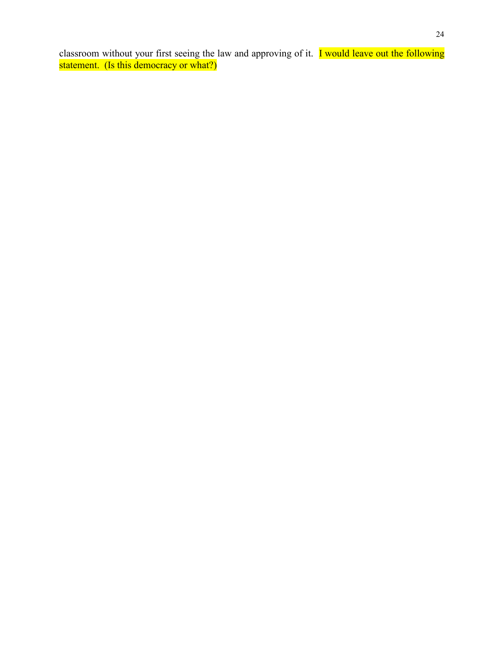classroom without your first seeing the law and approving of it. I would leave out the following statement. (Is this democracy or what?)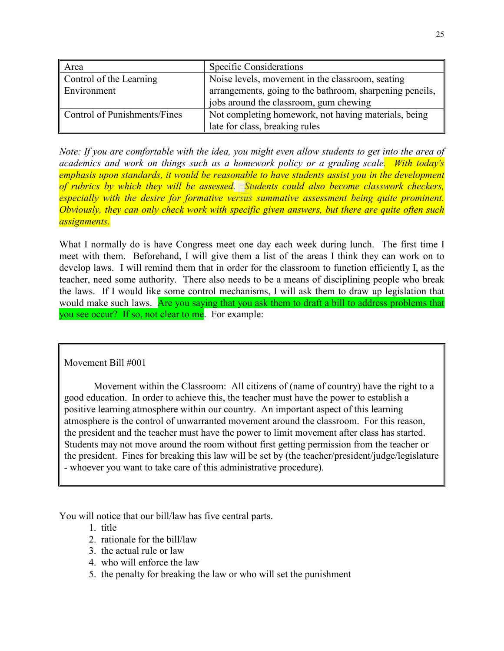| Area                         | <b>Specific Considerations</b>                           |
|------------------------------|----------------------------------------------------------|
| Control of the Learning      | Noise levels, movement in the classroom, seating         |
| Environment                  | arrangements, going to the bathroom, sharpening pencils, |
|                              | jobs around the classroom, gum chewing                   |
| Control of Punishments/Fines | Not completing homework, not having materials, being     |
|                              | late for class, breaking rules                           |

*Note: If you are comfortable with the idea, you might even allow students to get into the area of academics and work on things such as a homework policy or a grading scale. With today's emphasis upon standards, it would be reasonable to have students assist you in the development of rubrics by which they will be assessed. Students could also become classwork checkers, especially with the desire for formative versus summative assessment being quite prominent. Obviously, they can only check work with specific given answers, but there are quite often such assignments.* 

What I normally do is have Congress meet one day each week during lunch. The first time I meet with them. Beforehand, I will give them a list of the areas I think they can work on to develop laws. I will remind them that in order for the classroom to function efficiently I, as the teacher, need some authority. There also needs to be a means of disciplining people who break the laws. If I would like some control mechanisms, I will ask them to draw up legislation that would make such laws. Are you saying that you ask them to draft a bill to address problems that you see occur? If so, not clear to me. For example:

#### Movement Bill #001

Movement within the Classroom: All citizens of (name of country) have the right to a good education. In order to achieve this, the teacher must have the power to establish a positive learning atmosphere within our country. An important aspect of this learning atmosphere is the control of unwarranted movement around the classroom. For this reason, the president and the teacher must have the power to limit movement after class has started. Students may not move around the room without first getting permission from the teacher or the president. Fines for breaking this law will be set by (the teacher/president/judge/legislature - whoever you want to take care of this administrative procedure).

You will notice that our bill/law has five central parts.

- 1. title
- 2. rationale for the bill/law
- 3. the actual rule or law
- 4. who will enforce the law
- 5. the penalty for breaking the law or who will set the punishment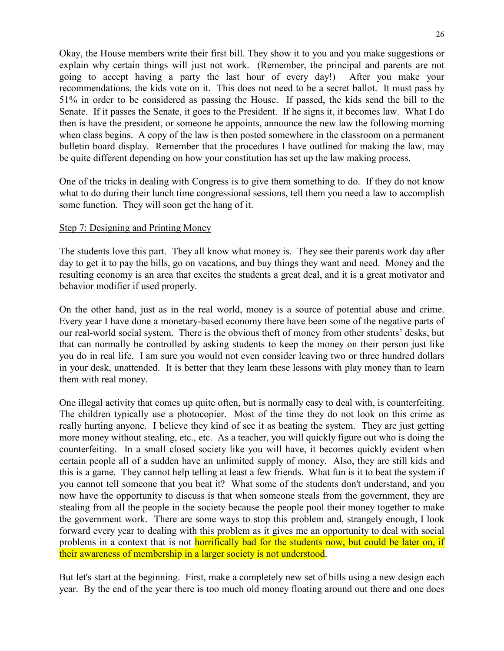Okay, the House members write their first bill. They show it to you and you make suggestions or explain why certain things will just not work. (Remember, the principal and parents are not going to accept having a party the last hour of every day!) After you make your recommendations, the kids vote on it. This does not need to be a secret ballot. It must pass by 51% in order to be considered as passing the House. If passed, the kids send the bill to the Senate. If it passes the Senate, it goes to the President. If he signs it, it becomes law. What I do then is have the president, or someone he appoints, announce the new law the following morning when class begins. A copy of the law is then posted somewhere in the classroom on a permanent bulletin board display. Remember that the procedures I have outlined for making the law, may be quite different depending on how your constitution has set up the law making process.

One of the tricks in dealing with Congress is to give them something to do. If they do not know what to do during their lunch time congressional sessions, tell them you need a law to accomplish some function. They will soon get the hang of it.

#### Step 7: Designing and Printing Money

The students love this part. They all know what money is. They see their parents work day after day to get it to pay the bills, go on vacations, and buy things they want and need. Money and the resulting economy is an area that excites the students a great deal, and it is a great motivator and behavior modifier if used properly.

On the other hand, just as in the real world, money is a source of potential abuse and crime. Every year I have done a monetary-based economy there have been some of the negative parts of our real-world social system. There is the obvious theft of money from other students' desks, but that can normally be controlled by asking students to keep the money on their person just like you do in real life. I am sure you would not even consider leaving two or three hundred dollars in your desk, unattended. It is better that they learn these lessons with play money than to learn them with real money.

One illegal activity that comes up quite often, but is normally easy to deal with, is counterfeiting. The children typically use a photocopier. Most of the time they do not look on this crime as really hurting anyone. I believe they kind of see it as beating the system. They are just getting more money without stealing, etc., etc. As a teacher, you will quickly figure out who is doing the counterfeiting. In a small closed society like you will have, it becomes quickly evident when certain people all of a sudden have an unlimited supply of money. Also, they are still kids and this is a game. They cannot help telling at least a few friends. What fun is it to beat the system if you cannot tell someone that you beat it? What some of the students don't understand, and you now have the opportunity to discuss is that when someone steals from the government, they are stealing from all the people in the society because the people pool their money together to make the government work. There are some ways to stop this problem and, strangely enough, I look forward every year to dealing with this problem as it gives me an opportunity to deal with social problems in a context that is not **horrifically bad for the students now, but could be later on, if** their awareness of membership in a larger society is not understood.

But let's start at the beginning. First, make a completely new set of bills using a new design each year. By the end of the year there is too much old money floating around out there and one does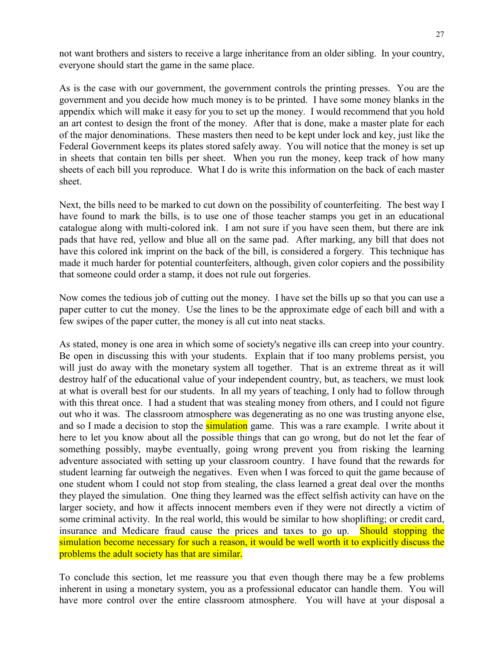not want brothers and sisters to receive a large inheritance from an older sibling. In your country, everyone should start the game in the same place.

As is the case with our government, the government controls the printing presses. You are the government and you decide how much money is to be printed. I have some money blanks in the appendix which will make it easy for you to set up the money. I would recommend that you hold an art contest to design the front of the money. After that is done, make a master plate for each of the major denominations. These masters then need to be kept under lock and key, just like the Federal Government keeps its plates stored safely away. You will notice that the money is set up in sheets that contain ten bills per sheet. When you run the money, keep track of how many sheets of each bill you reproduce. What I do is write this information on the back of each master sheet.

Next, the bills need to be marked to cut down on the possibility of counterfeiting. The best way I have found to mark the bills, is to use one of those teacher stamps you get in an educational catalogue along with multi-colored ink. I am not sure if you have seen them, but there are ink pads that have red, yellow and blue all on the same pad. After marking, any bill that does not have this colored ink imprint on the back of the bill, is considered a forgery. This technique has made it much harder for potential counterfeiters, although, given color copiers and the possibility that someone could order a stamp, it does not rule out forgeries.

Now comes the tedious job of cutting out the money. I have set the bills up so that you can use a paper cutter to cut the money. Use the lines to be the approximate edge of each bill and with a few swipes of the paper cutter, the money is all cut into neat stacks.

As stated, money is one area in which some of society's negative ills can creep into your country. Be open in discussing this with your students. Explain that if too many problems persist, you will just do away with the monetary system all together. That is an extreme threat as it will destroy half of the educational value of your independent country, but, as teachers, we must look at what is overall best for our students. In all my years of teaching, I only had to follow through with this threat once. I had a student that was stealing money from others, and I could not figure out who it was. The classroom atmosphere was degenerating as no one was trusting anyone else, and so I made a decision to stop the simulation game. This was a rare example. I write about it here to let you know about all the possible things that can go wrong, but do not let the fear of something possibly, maybe eventually, going wrong prevent you from risking the learning adventure associated with setting up your classroom country. I have found that the rewards for student learning far outweigh the negatives. Even when I was forced to quit the game because of one student whom I could not stop from stealing, the class learned a great deal over the months they played the simulation. One thing they learned was the effect selfish activity can have on the larger society, and how it affects innocent members even if they were not directly a victim of some criminal activity. In the real world, this would be similar to how shoplifting; or credit card, insurance and Medicare fraud cause the prices and taxes to go up. Should stopping the simulation become necessary for such a reason, it would be well worth it to explicitly discuss the problems the adult society has that are similar.

To conclude this section, let me reassure you that even though there may be a few problems inherent in using a monetary system, you as a professional educator can handle them. You will have more control over the entire classroom atmosphere. You will have at your disposal a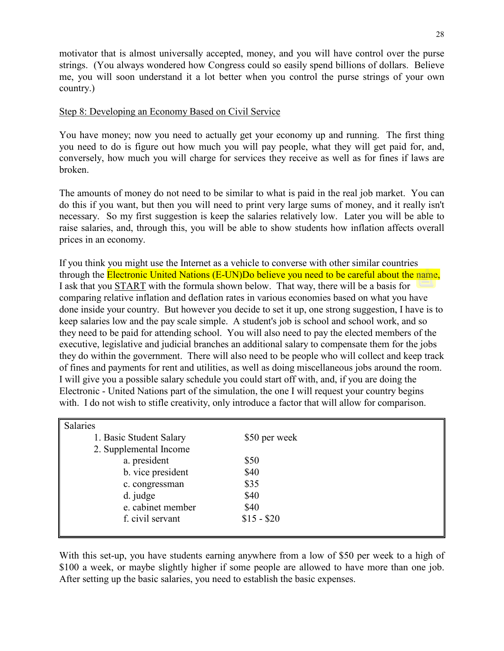motivator that is almost universally accepted, money, and you will have control over the purse strings. (You always wondered how Congress could so easily spend billions of dollars. Believe me, you will soon understand it a lot better when you control the purse strings of your own country.)

#### Step 8: Developing an Economy Based on Civil Service

You have money; now you need to actually get your economy up and running. The first thing you need to do is figure out how much you will pay people, what they will get paid for, and, conversely, how much you will charge for services they receive as well as for fines if laws are broken.

The amounts of money do not need to be similar to what is paid in the real job market. You can do this if you want, but then you will need to print very large sums of money, and it really isn't necessary. So my first suggestion is keep the salaries relatively low. Later you will be able to raise salaries, and, through this, you will be able to show students how inflation affects overall prices in an economy.

If you think you might use the Internet as a vehicle to converse with other similar countries through the Electronic United Nations (E-UN)Do believe you need to be careful about the name, I ask that you START with the formula shown below. That way, there will be a basis for comparing relative inflation and deflation rates in various economies based on what you have done inside your country. But however you decide to set it up, one strong suggestion, I have is to keep salaries low and the pay scale simple. A student's job is school and school work, and so they need to be paid for attending school. You will also need to pay the elected members of the executive, legislative and judicial branches an additional salary to compensate them for the jobs they do within the government. There will also need to be people who will collect and keep track of fines and payments for rent and utilities, as well as doing miscellaneous jobs around the room. I will give you a possible salary schedule you could start off with, and, if you are doing the Electronic - United Nations part of the simulation, the one I will request your country begins with. I do not wish to stifle creativity, only introduce a factor that will allow for comparison.

| Salaries                |               |
|-------------------------|---------------|
| 1. Basic Student Salary | \$50 per week |
| 2. Supplemental Income  |               |
| a. president            | \$50          |
| b. vice president       | \$40          |
| c. congressman          | \$35          |
| d. judge                | \$40          |
| e. cabinet member       | \$40          |
| f. civil servant        | $$15 - $20$   |
|                         |               |

With this set-up, you have students earning anywhere from a low of \$50 per week to a high of \$100 a week, or maybe slightly higher if some people are allowed to have more than one job. After setting up the basic salaries, you need to establish the basic expenses.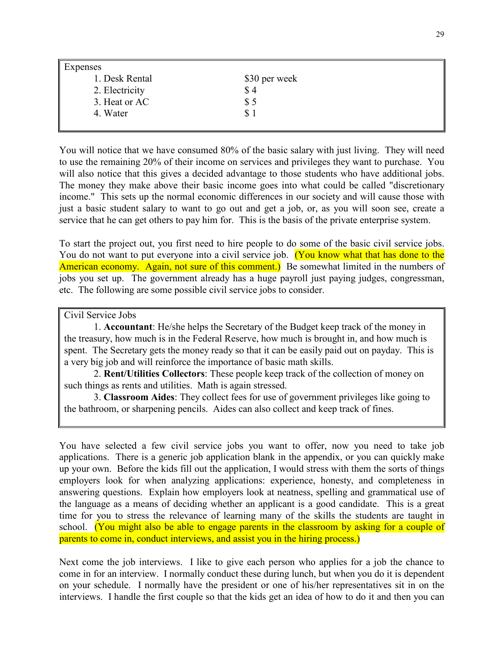| <b>Expenses</b> |               |  |
|-----------------|---------------|--|
| 1. Desk Rental  | \$30 per week |  |
| 2. Electricity  | \$4           |  |
| 3. Heat or AC   | \$5           |  |
| 4. Water        | \$1           |  |
|                 |               |  |

You will notice that we have consumed 80% of the basic salary with just living. They will need to use the remaining 20% of their income on services and privileges they want to purchase. You will also notice that this gives a decided advantage to those students who have additional jobs. The money they make above their basic income goes into what could be called "discretionary income." This sets up the normal economic differences in our society and will cause those with just a basic student salary to want to go out and get a job, or, as you will soon see, create a service that he can get others to pay him for. This is the basis of the private enterprise system.

To start the project out, you first need to hire people to do some of the basic civil service jobs. You do not want to put everyone into a civil service job. (You know what that has done to the American economy. Again, not sure of this comment.) Be somewhat limited in the numbers of jobs you set up. The government already has a huge payroll just paying judges, congressman, etc. The following are some possible civil service jobs to consider.

Civil Service Jobs

1. **Accountant**: He/she helps the Secretary of the Budget keep track of the money in the treasury, how much is in the Federal Reserve, how much is brought in, and how much is spent. The Secretary gets the money ready so that it can be easily paid out on payday. This is a very big job and will reinforce the importance of basic math skills.

2. **Rent/Utilities Collectors**: These people keep track of the collection of money on such things as rents and utilities. Math is again stressed.

3. **Classroom Aides**: They collect fees for use of government privileges like going to the bathroom, or sharpening pencils. Aides can also collect and keep track of fines.

You have selected a few civil service jobs you want to offer, now you need to take job applications. There is a generic job application blank in the appendix, or you can quickly make up your own. Before the kids fill out the application, I would stress with them the sorts of things employers look for when analyzing applications: experience, honesty, and completeness in answering questions. Explain how employers look at neatness, spelling and grammatical use of the language as a means of deciding whether an applicant is a good candidate. This is a great time for you to stress the relevance of learning many of the skills the students are taught in school. (You might also be able to engage parents in the classroom by asking for a couple of parents to come in, conduct interviews, and assist you in the hiring process.)

Next come the job interviews. I like to give each person who applies for a job the chance to come in for an interview. I normally conduct these during lunch, but when you do it is dependent on your schedule. I normally have the president or one of his/her representatives sit in on the interviews. I handle the first couple so that the kids get an idea of how to do it and then you can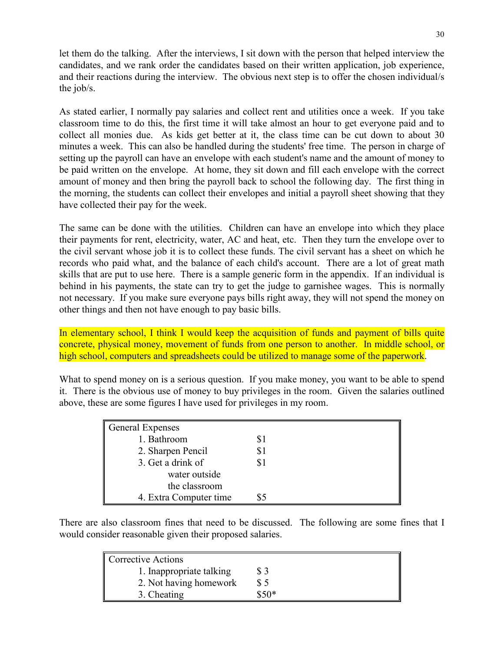let them do the talking. After the interviews, I sit down with the person that helped interview the candidates, and we rank order the candidates based on their written application, job experience, and their reactions during the interview. The obvious next step is to offer the chosen individual/s the job/s.

As stated earlier, I normally pay salaries and collect rent and utilities once a week. If you take classroom time to do this, the first time it will take almost an hour to get everyone paid and to collect all monies due. As kids get better at it, the class time can be cut down to about 30 minutes a week. This can also be handled during the students' free time. The person in charge of setting up the payroll can have an envelope with each student's name and the amount of money to be paid written on the envelope. At home, they sit down and fill each envelope with the correct amount of money and then bring the payroll back to school the following day. The first thing in the morning, the students can collect their envelopes and initial a payroll sheet showing that they have collected their pay for the week.

The same can be done with the utilities. Children can have an envelope into which they place their payments for rent, electricity, water, AC and heat, etc. Then they turn the envelope over to the civil servant whose job it is to collect these funds. The civil servant has a sheet on which he records who paid what, and the balance of each child's account. There are a lot of great math skills that are put to use here. There is a sample generic form in the appendix. If an individual is behind in his payments, the state can try to get the judge to garnishee wages. This is normally not necessary. If you make sure everyone pays bills right away, they will not spend the money on other things and then not have enough to pay basic bills.

In elementary school, I think I would keep the acquisition of funds and payment of bills quite concrete, physical money, movement of funds from one person to another. In middle school, or high school, computers and spreadsheets could be utilized to manage some of the paperwork.

What to spend money on is a serious question. If you make money, you want to be able to spend it. There is the obvious use of money to buy privileges in the room. Given the salaries outlined above, these are some figures I have used for privileges in my room.

| General Expenses       |  |
|------------------------|--|
| 1. Bathroom            |  |
| 2. Sharpen Pencil      |  |
| 3. Get a drink of      |  |
| water outside          |  |
| the classroom          |  |
| 4. Extra Computer time |  |

There are also classroom fines that need to be discussed. The following are some fines that I would consider reasonable given their proposed salaries.

| <b>Corrective Actions</b> |       |
|---------------------------|-------|
| 1. Inappropriate talking  |       |
| 2. Not having homework    | S 5   |
| 3. Cheating               | ፍ ናበ* |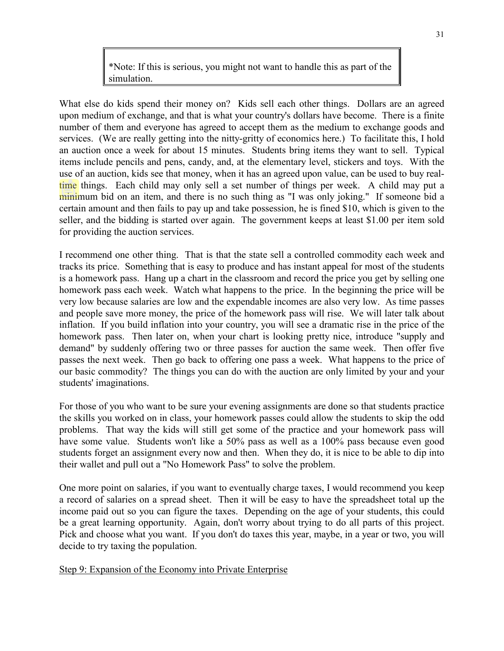\*Note: If this is serious, you might not want to handle this as part of the simulation.

What else do kids spend their money on? Kids sell each other things. Dollars are an agreed upon medium of exchange, and that is what your country's dollars have become. There is a finite number of them and everyone has agreed to accept them as the medium to exchange goods and services. (We are really getting into the nitty-gritty of economics here.) To facilitate this, I hold an auction once a week for about 15 minutes. Students bring items they want to sell. Typical items include pencils and pens, candy, and, at the elementary level, stickers and toys. With the use of an auction, kids see that money, when it has an agreed upon value, can be used to buy realtime things. Each child may only sell a set number of things per week. A child may put a minimum bid on an item, and there is no such thing as "I was only joking." If someone bid a certain amount and then fails to pay up and take possession, he is fined \$10, which is given to the seller, and the bidding is started over again. The government keeps at least \$1.00 per item sold for providing the auction services.

I recommend one other thing. That is that the state sell a controlled commodity each week and tracks its price. Something that is easy to produce and has instant appeal for most of the students is a homework pass. Hang up a chart in the classroom and record the price you get by selling one homework pass each week. Watch what happens to the price. In the beginning the price will be very low because salaries are low and the expendable incomes are also very low. As time passes and people save more money, the price of the homework pass will rise. We will later talk about inflation. If you build inflation into your country, you will see a dramatic rise in the price of the homework pass. Then later on, when your chart is looking pretty nice, introduce "supply and demand" by suddenly offering two or three passes for auction the same week. Then offer five passes the next week. Then go back to offering one pass a week. What happens to the price of our basic commodity? The things you can do with the auction are only limited by your and your students' imaginations.

For those of you who want to be sure your evening assignments are done so that students practice the skills you worked on in class, your homework passes could allow the students to skip the odd problems. That way the kids will still get some of the practice and your homework pass will have some value. Students won't like a 50% pass as well as a 100% pass because even good students forget an assignment every now and then. When they do, it is nice to be able to dip into their wallet and pull out a "No Homework Pass" to solve the problem.

One more point on salaries, if you want to eventually charge taxes, I would recommend you keep a record of salaries on a spread sheet. Then it will be easy to have the spreadsheet total up the income paid out so you can figure the taxes. Depending on the age of your students, this could be a great learning opportunity. Again, don't worry about trying to do all parts of this project. Pick and choose what you want. If you don't do taxes this year, maybe, in a year or two, you will decide to try taxing the population.

Step 9: Expansion of the Economy into Private Enterprise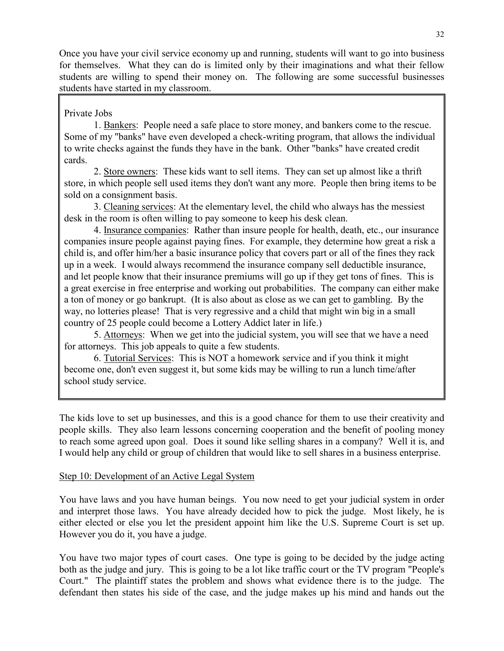Once you have your civil service economy up and running, students will want to go into business for themselves. What they can do is limited only by their imaginations and what their fellow students are willing to spend their money on. The following are some successful businesses students have started in my classroom.

#### Private Jobs

1. Bankers: People need a safe place to store money, and bankers come to the rescue. Some of my "banks" have even developed a check-writing program, that allows the individual to write checks against the funds they have in the bank. Other "banks" have created credit cards.

2. Store owners: These kids want to sell items. They can set up almost like a thrift store, in which people sell used items they don't want any more. People then bring items to be sold on a consignment basis.

3. Cleaning services: At the elementary level, the child who always has the messiest desk in the room is often willing to pay someone to keep his desk clean.

4. Insurance companies: Rather than insure people for health, death, etc., our insurance companies insure people against paying fines. For example, they determine how great a risk a child is, and offer him/her a basic insurance policy that covers part or all of the fines they rack up in a week. I would always recommend the insurance company sell deductible insurance, and let people know that their insurance premiums will go up if they get tons of fines. This is a great exercise in free enterprise and working out probabilities. The company can either make a ton of money or go bankrupt. (It is also about as close as we can get to gambling. By the way, no lotteries please! That is very regressive and a child that might win big in a small country of 25 people could become a Lottery Addict later in life.)

5. Attorneys: When we get into the judicial system, you will see that we have a need for attorneys. This job appeals to quite a few students.

6. Tutorial Services: This is NOT a homework service and if you think it might become one, don't even suggest it, but some kids may be willing to run a lunch time/after school study service.

The kids love to set up businesses, and this is a good chance for them to use their creativity and people skills. They also learn lessons concerning cooperation and the benefit of pooling money to reach some agreed upon goal. Does it sound like selling shares in a company? Well it is, and I would help any child or group of children that would like to sell shares in a business enterprise.

#### Step 10: Development of an Active Legal System

You have laws and you have human beings. You now need to get your judicial system in order and interpret those laws. You have already decided how to pick the judge. Most likely, he is either elected or else you let the president appoint him like the U.S. Supreme Court is set up. However you do it, you have a judge.

You have two major types of court cases. One type is going to be decided by the judge acting both as the judge and jury. This is going to be a lot like traffic court or the TV program "People's Court." The plaintiff states the problem and shows what evidence there is to the judge. The defendant then states his side of the case, and the judge makes up his mind and hands out the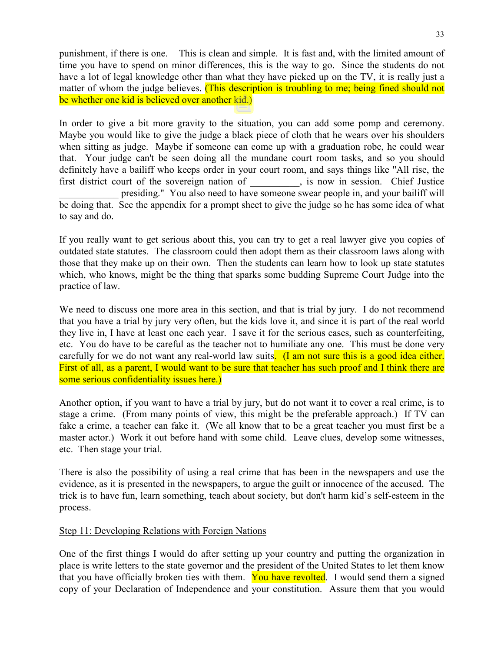punishment, if there is one. This is clean and simple. It is fast and, with the limited amount of time you have to spend on minor differences, this is the way to go. Since the students do not have a lot of legal knowledge other than what they have picked up on the TV, it is really just a matter of whom the judge believes. (This description is troubling to me; being fined should not be whether one kid is believed over another kid.)

In order to give a bit more gravity to the situation, you can add some pomp and ceremony. Maybe you would like to give the judge a black piece of cloth that he wears over his shoulders when sitting as judge. Maybe if someone can come up with a graduation robe, he could wear that. Your judge can't be seen doing all the mundane court room tasks, and so you should definitely have a bailiff who keeps order in your court room, and says things like "All rise, the first district court of the sovereign nation of  $\qquad \qquad$ , is now in session. Chief Justice presiding." You also need to have someone swear people in, and your bailiff will be doing that. See the appendix for a prompt sheet to give the judge so he has some idea of what to say and do.

If you really want to get serious about this, you can try to get a real lawyer give you copies of outdated state statutes. The classroom could then adopt them as their classroom laws along with those that they make up on their own. Then the students can learn how to look up state statutes which, who knows, might be the thing that sparks some budding Supreme Court Judge into the practice of law.

We need to discuss one more area in this section, and that is trial by jury. I do not recommend that you have a trial by jury very often, but the kids love it, and since it is part of the real world they live in, I have at least one each year. I save it for the serious cases, such as counterfeiting, etc. You do have to be careful as the teacher not to humiliate any one. This must be done very carefully for we do not want any real-world law suits. (I am not sure this is a good idea either. First of all, as a parent, I would want to be sure that teacher has such proof and I think there are some serious confidentiality issues here.)

Another option, if you want to have a trial by jury, but do not want it to cover a real crime, is to stage a crime. (From many points of view, this might be the preferable approach.) If TV can fake a crime, a teacher can fake it. (We all know that to be a great teacher you must first be a master actor.) Work it out before hand with some child. Leave clues, develop some witnesses, etc. Then stage your trial.

There is also the possibility of using a real crime that has been in the newspapers and use the evidence, as it is presented in the newspapers, to argue the guilt or innocence of the accused. The trick is to have fun, learn something, teach about society, but don't harm kid's self-esteem in the process.

#### Step 11: Developing Relations with Foreign Nations

One of the first things I would do after setting up your country and putting the organization in place is write letters to the state governor and the president of the United States to let them know that you have officially broken ties with them. You have revolted. I would send them a signed copy of your Declaration of Independence and your constitution. Assure them that you would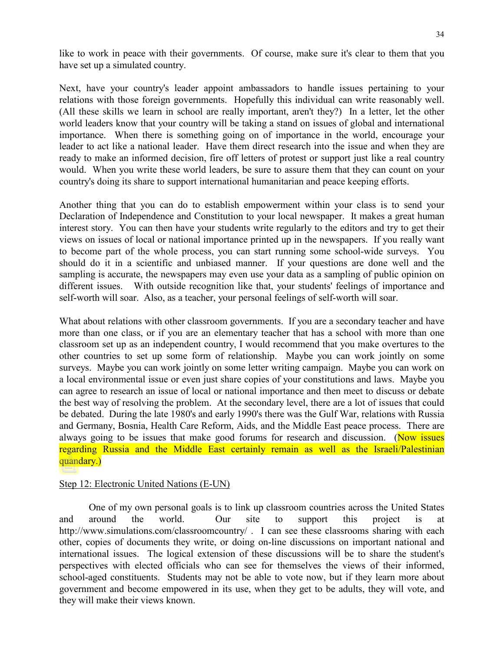like to work in peace with their governments. Of course, make sure it's clear to them that you have set up a simulated country.

Next, have your country's leader appoint ambassadors to handle issues pertaining to your relations with those foreign governments. Hopefully this individual can write reasonably well. (All these skills we learn in school are really important, aren't they?) In a letter, let the other world leaders know that your country will be taking a stand on issues of global and international importance. When there is something going on of importance in the world, encourage your leader to act like a national leader. Have them direct research into the issue and when they are ready to make an informed decision, fire off letters of protest or support just like a real country would. When you write these world leaders, be sure to assure them that they can count on your country's doing its share to support international humanitarian and peace keeping efforts.

Another thing that you can do to establish empowerment within your class is to send your Declaration of Independence and Constitution to your local newspaper. It makes a great human interest story. You can then have your students write regularly to the editors and try to get their views on issues of local or national importance printed up in the newspapers. If you really want to become part of the whole process, you can start running some school-wide surveys. You should do it in a scientific and unbiased manner. If your questions are done well and the sampling is accurate, the newspapers may even use your data as a sampling of public opinion on different issues. With outside recognition like that, your students' feelings of importance and self-worth will soar. Also, as a teacher, your personal feelings of self-worth will soar.

What about relations with other classroom governments. If you are a secondary teacher and have more than one class, or if you are an elementary teacher that has a school with more than one classroom set up as an independent country, I would recommend that you make overtures to the other countries to set up some form of relationship. Maybe you can work jointly on some surveys. Maybe you can work jointly on some letter writing campaign. Maybe you can work on a local environmental issue or even just share copies of your constitutions and laws. Maybe you can agree to research an issue of local or national importance and then meet to discuss or debate the best way of resolving the problem. At the secondary level, there are a lot of issues that could be debated. During the late 1980's and early 1990's there was the Gulf War, relations with Russia and Germany, Bosnia, Health Care Reform, Aids, and the Middle East peace process. There are always going to be issues that make good forums for research and discussion. (Now issues regarding Russia and the Middle East certainly remain as well as the Israeli/Palestinian quandary.)

#### Step 12: Electronic United Nations (E-UN)

One of my own personal goals is to link up classroom countries across the United States and around the world. Our site to support this project is at http://www.simulations.com/classroomcountry/ . I can see these classrooms sharing with each other, copies of documents they write, or doing on-line discussions on important national and international issues. The logical extension of these discussions will be to share the student's perspectives with elected officials who can see for themselves the views of their informed, school-aged constituents. Students may not be able to vote now, but if they learn more about government and become empowered in its use, when they get to be adults, they will vote, and they will make their views known.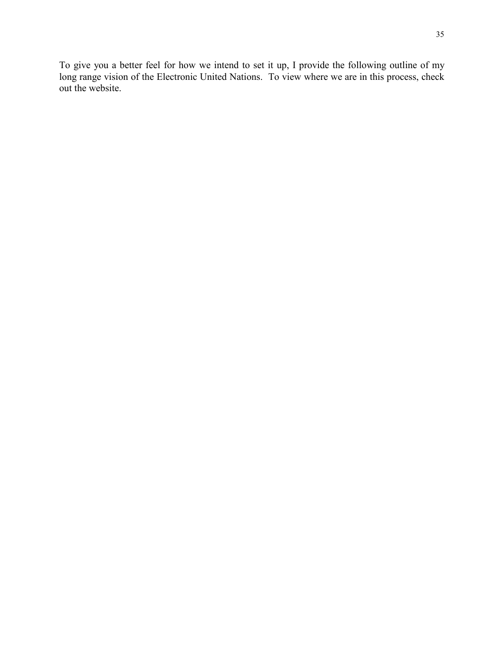To give you a better feel for how we intend to set it up, I provide the following outline of my long range vision of the Electronic United Nations. To view where we are in this process, check out the website.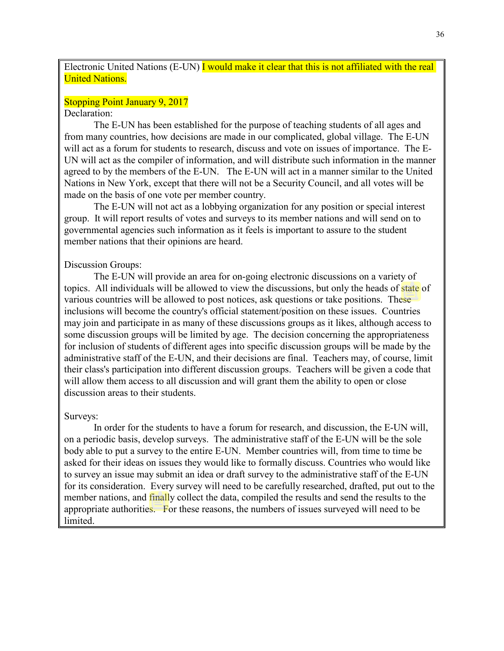Electronic United Nations (E-UN) I would make it clear that this is not affiliated with the real United Nations.

#### Stopping Point January 9, 2017

#### Declaration:

The E-UN has been established for the purpose of teaching students of all ages and from many countries, how decisions are made in our complicated, global village. The E-UN will act as a forum for students to research, discuss and vote on issues of importance. The E-UN will act as the compiler of information, and will distribute such information in the manner agreed to by the members of the E-UN. The E-UN will act in a manner similar to the United Nations in New York, except that there will not be a Security Council, and all votes will be made on the basis of one vote per member country.

The E-UN will not act as a lobbying organization for any position or special interest group. It will report results of votes and surveys to its member nations and will send on to governmental agencies such information as it feels is important to assure to the student member nations that their opinions are heard.

#### Discussion Groups:

The E-UN will provide an area for on-going electronic discussions on a variety of topics. All individuals will be allowed to view the discussions, but only the heads of state of various countries will be allowed to post notices, ask questions or take positions. These inclusions will become the country's official statement/position on these issues. Countries may join and participate in as many of these discussions groups as it likes, although access to some discussion groups will be limited by age. The decision concerning the appropriateness for inclusion of students of different ages into specific discussion groups will be made by the administrative staff of the E-UN, and their decisions are final. Teachers may, of course, limit their class's participation into different discussion groups. Teachers will be given a code that will allow them access to all discussion and will grant them the ability to open or close discussion areas to their students.

#### Surveys:

In order for the students to have a forum for research, and discussion, the E-UN will, on a periodic basis, develop surveys. The administrative staff of the E-UN will be the sole body able to put a survey to the entire E-UN. Member countries will, from time to time be asked for their ideas on issues they would like to formally discuss. Countries who would like to survey an issue may submit an idea or draft survey to the administrative staff of the E-UN for its consideration. Every survey will need to be carefully researched, drafted, put out to the member nations, and finally collect the data, compiled the results and send the results to the appropriate authorities. For these reasons, the numbers of issues surveyed will need to be limited.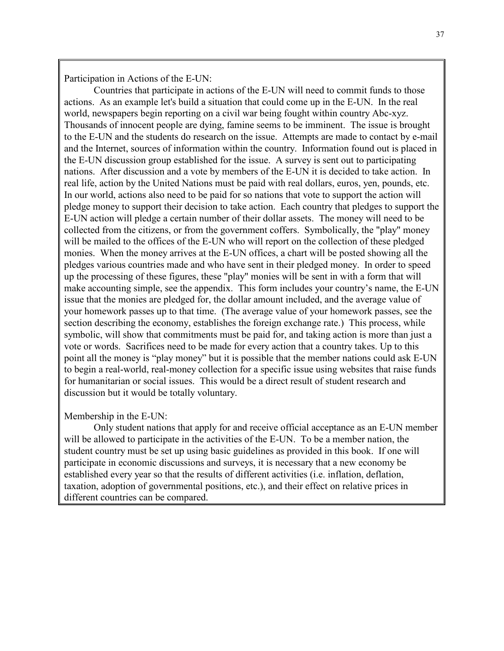Participation in Actions of the E-UN:

Countries that participate in actions of the E-UN will need to commit funds to those actions. As an example let's build a situation that could come up in the E-UN. In the real world, newspapers begin reporting on a civil war being fought within country Abc-xyz. Thousands of innocent people are dying, famine seems to be imminent. The issue is brought to the E-UN and the students do research on the issue. Attempts are made to contact by e-mail and the Internet, sources of information within the country. Information found out is placed in the E-UN discussion group established for the issue. A survey is sent out to participating nations. After discussion and a vote by members of the E-UN it is decided to take action. In real life, action by the United Nations must be paid with real dollars, euros, yen, pounds, etc. In our world, actions also need to be paid for so nations that vote to support the action will pledge money to support their decision to take action. Each country that pledges to support the E-UN action will pledge a certain number of their dollar assets. The money will need to be collected from the citizens, or from the government coffers. Symbolically, the "play" money will be mailed to the offices of the E-UN who will report on the collection of these pledged monies. When the money arrives at the E-UN offices, a chart will be posted showing all the pledges various countries made and who have sent in their pledged money. In order to speed up the processing of these figures, these "play" monies will be sent in with a form that will make accounting simple, see the appendix. This form includes your country's name, the E-UN issue that the monies are pledged for, the dollar amount included, and the average value of your homework passes up to that time. (The average value of your homework passes, see the section describing the economy, establishes the foreign exchange rate.) This process, while symbolic, will show that commitments must be paid for, and taking action is more than just a vote or words. Sacrifices need to be made for every action that a country takes. Up to this point all the money is "play money" but it is possible that the member nations could ask E-UN to begin a real-world, real-money collection for a specific issue using websites that raise funds for humanitarian or social issues. This would be a direct result of student research and discussion but it would be totally voluntary.

### Membership in the E-UN:

Only student nations that apply for and receive official acceptance as an E-UN member will be allowed to participate in the activities of the E-UN. To be a member nation, the student country must be set up using basic guidelines as provided in this book. If one will participate in economic discussions and surveys, it is necessary that a new economy be established every year so that the results of different activities (i.e. inflation, deflation, taxation, adoption of governmental positions, etc.), and their effect on relative prices in different countries can be compared.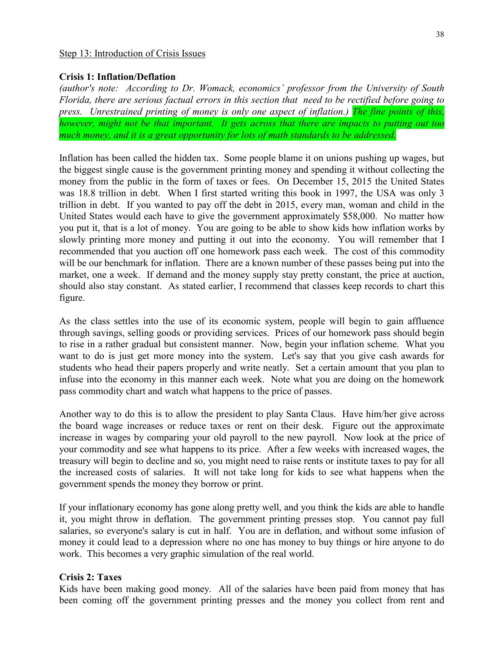### Step 13: Introduction of Crisis Issues

### **Crisis 1: Inflation/Deflation**

*(author's note: According to Dr. Womack, economics' professor from the University of South Florida, there are serious factual errors in this section that need to be rectified before going to press. Unrestrained printing of money is only one aspect of inflation.) The fine points of this, however, might not be that important. It gets across that there are impacts to putting out too much money, and it is a great opportunity for lots of math standards to be addressed.*

Inflation has been called the hidden tax. Some people blame it on unions pushing up wages, but the biggest single cause is the government printing money and spending it without collecting the money from the public in the form of taxes or fees. On December 15, 2015 the United States was 18.8 trillion in debt. When I first started writing this book in 1997, the USA was only 3 trillion in debt. If you wanted to pay off the debt in 2015, every man, woman and child in the United States would each have to give the government approximately \$58,000. No matter how you put it, that is a lot of money. You are going to be able to show kids how inflation works by slowly printing more money and putting it out into the economy. You will remember that I recommended that you auction off one homework pass each week. The cost of this commodity will be our benchmark for inflation. There are a known number of these passes being put into the market, one a week. If demand and the money supply stay pretty constant, the price at auction, should also stay constant. As stated earlier, I recommend that classes keep records to chart this figure.

As the class settles into the use of its economic system, people will begin to gain affluence through savings, selling goods or providing services. Prices of our homework pass should begin to rise in a rather gradual but consistent manner. Now, begin your inflation scheme. What you want to do is just get more money into the system. Let's say that you give cash awards for students who head their papers properly and write neatly. Set a certain amount that you plan to infuse into the economy in this manner each week. Note what you are doing on the homework pass commodity chart and watch what happens to the price of passes.

Another way to do this is to allow the president to play Santa Claus. Have him/her give across the board wage increases or reduce taxes or rent on their desk. Figure out the approximate increase in wages by comparing your old payroll to the new payroll. Now look at the price of your commodity and see what happens to its price. After a few weeks with increased wages, the treasury will begin to decline and so, you might need to raise rents or institute taxes to pay for all the increased costs of salaries. It will not take long for kids to see what happens when the government spends the money they borrow or print.

If your inflationary economy has gone along pretty well, and you think the kids are able to handle it, you might throw in deflation. The government printing presses stop. You cannot pay full salaries, so everyone's salary is cut in half. You are in deflation, and without some infusion of money it could lead to a depression where no one has money to buy things or hire anyone to do work. This becomes a very graphic simulation of the real world.

### **Crisis 2: Taxes**

Kids have been making good money. All of the salaries have been paid from money that has been coming off the government printing presses and the money you collect from rent and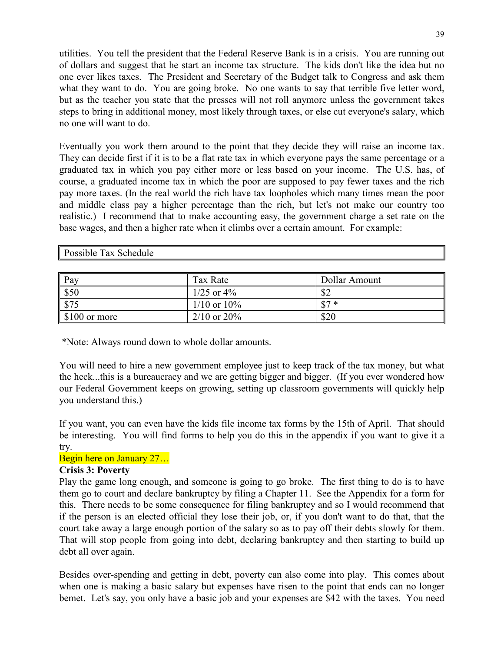utilities. You tell the president that the Federal Reserve Bank is in a crisis. You are running out of dollars and suggest that he start an income tax structure. The kids don't like the idea but no one ever likes taxes. The President and Secretary of the Budget talk to Congress and ask them what they want to do. You are going broke. No one wants to say that terrible five letter word, but as the teacher you state that the presses will not roll anymore unless the government takes steps to bring in additional money, most likely through taxes, or else cut everyone's salary, which no one will want to do.

Eventually you work them around to the point that they decide they will raise an income tax. They can decide first if it is to be a flat rate tax in which everyone pays the same percentage or a graduated tax in which you pay either more or less based on your income. The U.S. has, of course, a graduated income tax in which the poor are supposed to pay fewer taxes and the rich pay more taxes. (In the real world the rich have tax loopholes which many times mean the poor and middle class pay a higher percentage than the rich, but let's not make our country too realistic.) I recommend that to make accounting easy, the government charge a set rate on the base wages, and then a higher rate when it climbs over a certain amount. For example:

Possible Tax Schedule

| $\ $ Pay                  | Tax Rate         | Dollar Amount |
|---------------------------|------------------|---------------|
| \$50                      | $1/25$ or $4\%$  | \$2           |
| $\parallel$ \$75          | $1/10$ or $10\%$ | $$7*$         |
| $\parallel$ \$100 or more | $2/10$ or $20\%$ | \$20          |

\*Note: Always round down to whole dollar amounts.

You will need to hire a new government employee just to keep track of the tax money, but what the heck...this is a bureaucracy and we are getting bigger and bigger. (If you ever wondered how our Federal Government keeps on growing, setting up classroom governments will quickly help you understand this.)

If you want, you can even have the kids file income tax forms by the 15th of April. That should be interesting. You will find forms to help you do this in the appendix if you want to give it a try.

## Begin here on January 27…

## **Crisis 3: Poverty**

Play the game long enough, and someone is going to go broke. The first thing to do is to have them go to court and declare bankruptcy by filing a Chapter 11. See the Appendix for a form for this. There needs to be some consequence for filing bankruptcy and so I would recommend that if the person is an elected official they lose their job, or, if you don't want to do that, that the court take away a large enough portion of the salary so as to pay off their debts slowly for them. That will stop people from going into debt, declaring bankruptcy and then starting to build up debt all over again.

Besides over-spending and getting in debt, poverty can also come into play. This comes about when one is making a basic salary but expenses have risen to the point that ends can no longer bemet. Let's say, you only have a basic job and your expenses are \$42 with the taxes. You need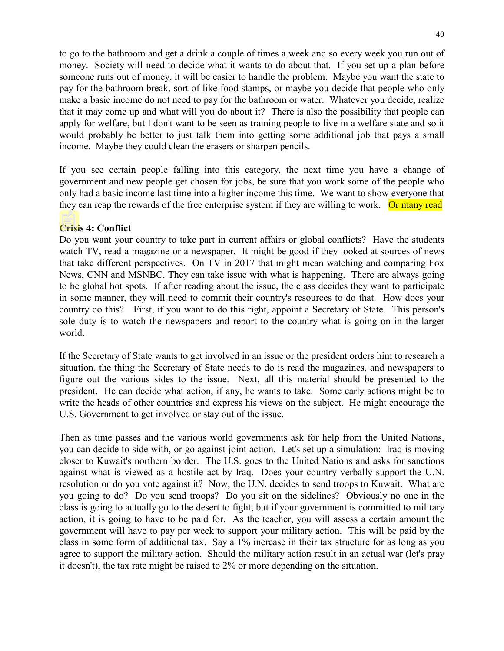to go to the bathroom and get a drink a couple of times a week and so every week you run out of money. Society will need to decide what it wants to do about that. If you set up a plan before someone runs out of money, it will be easier to handle the problem. Maybe you want the state to pay for the bathroom break, sort of like food stamps, or maybe you decide that people who only make a basic income do not need to pay for the bathroom or water. Whatever you decide, realize that it may come up and what will you do about it? There is also the possibility that people can apply for welfare, but I don't want to be seen as training people to live in a welfare state and so it would probably be better to just talk them into getting some additional job that pays a small income. Maybe they could clean the erasers or sharpen pencils.

If you see certain people falling into this category, the next time you have a change of government and new people get chosen for jobs, be sure that you work some of the people who only had a basic income last time into a higher income this time. We want to show everyone that they can reap the rewards of the free enterprise system if they are willing to work. Or many read

### **Crisis 4: Conflict**

Do you want your country to take part in current affairs or global conflicts? Have the students watch TV, read a magazine or a newspaper. It might be good if they looked at sources of news that take different perspectives. On TV in 2017 that might mean watching and comparing Fox News, CNN and MSNBC. They can take issue with what is happening. There are always going to be global hot spots. If after reading about the issue, the class decides they want to participate in some manner, they will need to commit their country's resources to do that. How does your country do this? First, if you want to do this right, appoint a Secretary of State. This person's sole duty is to watch the newspapers and report to the country what is going on in the larger world.

If the Secretary of State wants to get involved in an issue or the president orders him to research a situation, the thing the Secretary of State needs to do is read the magazines, and newspapers to figure out the various sides to the issue. Next, all this material should be presented to the president. He can decide what action, if any, he wants to take. Some early actions might be to write the heads of other countries and express his views on the subject. He might encourage the U.S. Government to get involved or stay out of the issue.

Then as time passes and the various world governments ask for help from the United Nations, you can decide to side with, or go against joint action. Let's set up a simulation: Iraq is moving closer to Kuwait's northern border. The U.S. goes to the United Nations and asks for sanctions against what is viewed as a hostile act by Iraq. Does your country verbally support the U.N. resolution or do you vote against it? Now, the U.N. decides to send troops to Kuwait. What are you going to do? Do you send troops? Do you sit on the sidelines? Obviously no one in the class is going to actually go to the desert to fight, but if your government is committed to military action, it is going to have to be paid for. As the teacher, you will assess a certain amount the government will have to pay per week to support your military action. This will be paid by the class in some form of additional tax. Say a 1% increase in their tax structure for as long as you agree to support the military action. Should the military action result in an actual war (let's pray it doesn't), the tax rate might be raised to 2% or more depending on the situation.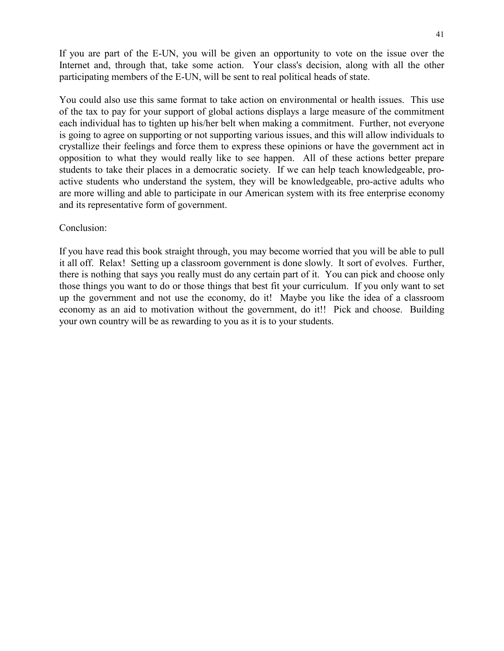If you are part of the E-UN, you will be given an opportunity to vote on the issue over the Internet and, through that, take some action. Your class's decision, along with all the other participating members of the E-UN, will be sent to real political heads of state.

You could also use this same format to take action on environmental or health issues. This use of the tax to pay for your support of global actions displays a large measure of the commitment each individual has to tighten up his/her belt when making a commitment. Further, not everyone is going to agree on supporting or not supporting various issues, and this will allow individuals to crystallize their feelings and force them to express these opinions or have the government act in opposition to what they would really like to see happen. All of these actions better prepare students to take their places in a democratic society. If we can help teach knowledgeable, proactive students who understand the system, they will be knowledgeable, pro-active adults who are more willing and able to participate in our American system with its free enterprise economy and its representative form of government.

### Conclusion:

If you have read this book straight through, you may become worried that you will be able to pull it all off. Relax! Setting up a classroom government is done slowly. It sort of evolves. Further, there is nothing that says you really must do any certain part of it. You can pick and choose only those things you want to do or those things that best fit your curriculum. If you only want to set up the government and not use the economy, do it! Maybe you like the idea of a classroom economy as an aid to motivation without the government, do it!! Pick and choose. Building your own country will be as rewarding to you as it is to your students.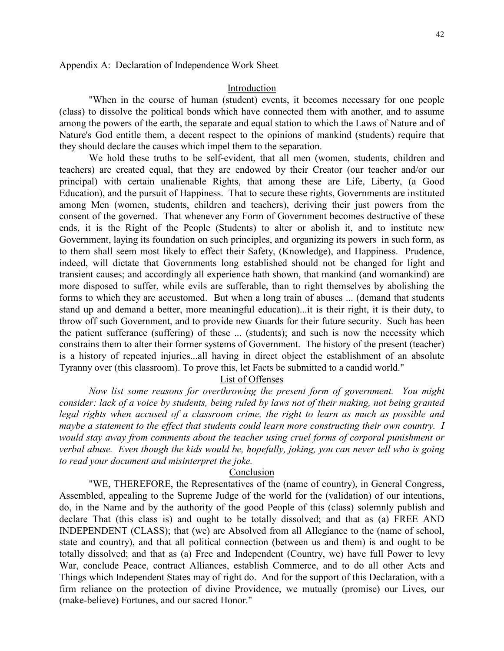#### Introduction

"When in the course of human (student) events, it becomes necessary for one people (class) to dissolve the political bonds which have connected them with another, and to assume among the powers of the earth, the separate and equal station to which the Laws of Nature and of Nature's God entitle them, a decent respect to the opinions of mankind (students) require that they should declare the causes which impel them to the separation.

We hold these truths to be self-evident, that all men (women, students, children and teachers) are created equal, that they are endowed by their Creator (our teacher and/or our principal) with certain unalienable Rights, that among these are Life, Liberty, (a Good Education), and the pursuit of Happiness. That to secure these rights, Governments are instituted among Men (women, students, children and teachers), deriving their just powers from the consent of the governed. That whenever any Form of Government becomes destructive of these ends, it is the Right of the People (Students) to alter or abolish it, and to institute new Government, laying its foundation on such principles, and organizing its powers in such form, as to them shall seem most likely to effect their Safety, (Knowledge), and Happiness. Prudence, indeed, will dictate that Governments long established should not be changed for light and transient causes; and accordingly all experience hath shown, that mankind (and womankind) are more disposed to suffer, while evils are sufferable, than to right themselves by abolishing the forms to which they are accustomed. But when a long train of abuses ... (demand that students stand up and demand a better, more meaningful education)...it is their right, it is their duty, to throw off such Government, and to provide new Guards for their future security. Such has been the patient sufferance (suffering) of these ... (students); and such is now the necessity which constrains them to alter their former systems of Government. The history of the present (teacher) is a history of repeated injuries...all having in direct object the establishment of an absolute Tyranny over (this classroom). To prove this, let Facts be submitted to a candid world."

## List of Offenses

*Now list some reasons for overthrowing the present form of government. You might consider: lack of a voice by students, being ruled by laws not of their making, not being granted legal rights when accused of a classroom crime, the right to learn as much as possible and maybe a statement to the effect that students could learn more constructing their own country. I would stay away from comments about the teacher using cruel forms of corporal punishment or verbal abuse. Even though the kids would be, hopefully, joking, you can never tell who is going to read your document and misinterpret the joke.*

#### Conclusion

"WE, THEREFORE, the Representatives of the (name of country), in General Congress, Assembled, appealing to the Supreme Judge of the world for the (validation) of our intentions, do, in the Name and by the authority of the good People of this (class) solemnly publish and declare That (this class is) and ought to be totally dissolved; and that as (a) FREE AND INDEPENDENT (CLASS); that (we) are Absolved from all Allegiance to the (name of school, state and country), and that all political connection (between us and them) is and ought to be totally dissolved; and that as (a) Free and Independent (Country, we) have full Power to levy War, conclude Peace, contract Alliances, establish Commerce, and to do all other Acts and Things which Independent States may of right do. And for the support of this Declaration, with a firm reliance on the protection of divine Providence, we mutually (promise) our Lives, our (make-believe) Fortunes, and our sacred Honor."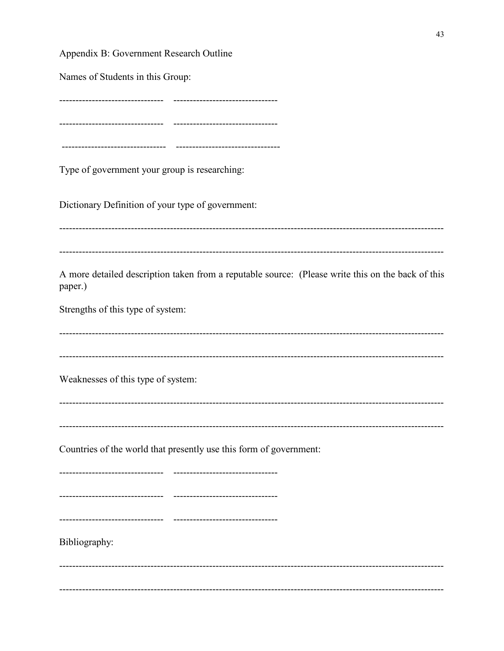Appendix B: Government Research Outline

Names of Students in this Group:

---------------------------------------------

Type of government your group is researching:

Dictionary Definition of your type of government:

A more detailed description taken from a reputable source: (Please write this on the back of this paper.)

Strengths of this type of system:

Weaknesses of this type of system:

Countries of the world that presently use this form of government:

Bibliography: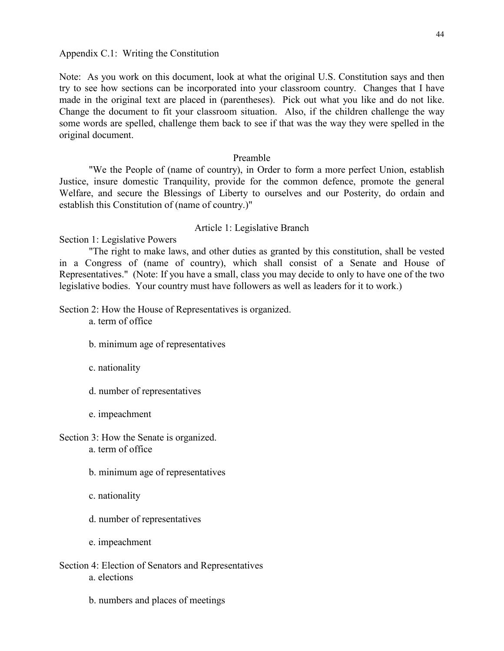Note: As you work on this document, look at what the original U.S. Constitution says and then try to see how sections can be incorporated into your classroom country. Changes that I have made in the original text are placed in (parentheses). Pick out what you like and do not like. Change the document to fit your classroom situation. Also, if the children challenge the way some words are spelled, challenge them back to see if that was the way they were spelled in the original document.

### Preamble

"We the People of (name of country), in Order to form a more perfect Union, establish Justice, insure domestic Tranquility, provide for the common defence, promote the general Welfare, and secure the Blessings of Liberty to ourselves and our Posterity, do ordain and establish this Constitution of (name of country.)"

#### Article 1: Legislative Branch

Section 1: Legislative Powers

"The right to make laws, and other duties as granted by this constitution, shall be vested in a Congress of (name of country), which shall consist of a Senate and House of Representatives." (Note: If you have a small, class you may decide to only to have one of the two legislative bodies. Your country must have followers as well as leaders for it to work.)

Section 2: How the House of Representatives is organized.

a. term of office

- b. minimum age of representatives
- c. nationality
- d. number of representatives
- e. impeachment

Section 3: How the Senate is organized. a. term of office

- b. minimum age of representatives
- c. nationality
- d. number of representatives
- e. impeachment
- Section 4: Election of Senators and Representatives a. elections
	- b. numbers and places of meetings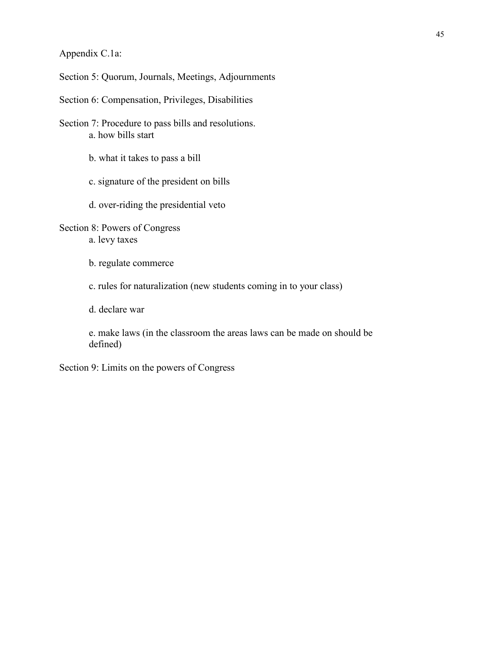Appendix C.1a:

Section 5: Quorum, Journals, Meetings, Adjournments

Section 6: Compensation, Privileges, Disabilities

Section 7: Procedure to pass bills and resolutions. a. how bills start

b. what it takes to pass a bill

c. signature of the president on bills

d. over-riding the presidential veto

Section 8: Powers of Congress a. levy taxes

b. regulate commerce

c. rules for naturalization (new students coming in to your class)

d. declare war

e. make laws (in the classroom the areas laws can be made on should be defined)

Section 9: Limits on the powers of Congress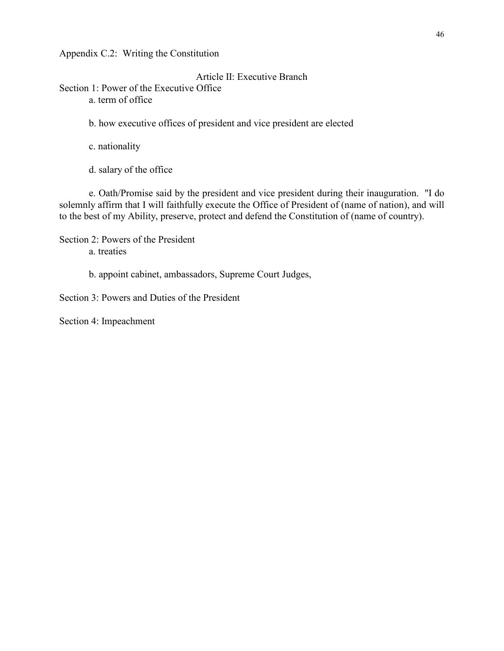Appendix C.2: Writing the Constitution

Article II: Executive Branch

Section 1: Power of the Executive Office a. term of office

b. how executive offices of president and vice president are elected

c. nationality

d. salary of the office

e. Oath/Promise said by the president and vice president during their inauguration. "I do solemnly affirm that I will faithfully execute the Office of President of (name of nation), and will to the best of my Ability, preserve, protect and defend the Constitution of (name of country).

Section 2: Powers of the President a. treaties

b. appoint cabinet, ambassadors, Supreme Court Judges,

Section 3: Powers and Duties of the President

Section 4: Impeachment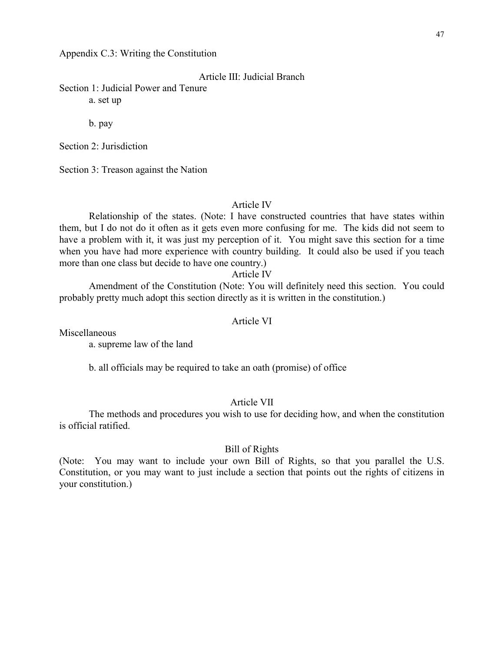Appendix C.3: Writing the Constitution

Article III: Judicial Branch

Section 1: Judicial Power and Tenure a. set up

b. pay

Section 2: Jurisdiction

Section 3: Treason against the Nation

### Article IV

Relationship of the states. (Note: I have constructed countries that have states within them, but I do not do it often as it gets even more confusing for me. The kids did not seem to have a problem with it, it was just my perception of it. You might save this section for a time when you have had more experience with country building. It could also be used if you teach more than one class but decide to have one country.)

#### Article IV

Amendment of the Constitution (Note: You will definitely need this section. You could probably pretty much adopt this section directly as it is written in the constitution.)

### Article VI

Miscellaneous

a. supreme law of the land

b. all officials may be required to take an oath (promise) of office

### Article VII

The methods and procedures you wish to use for deciding how, and when the constitution is official ratified.

### Bill of Rights

(Note: You may want to include your own Bill of Rights, so that you parallel the U.S. Constitution, or you may want to just include a section that points out the rights of citizens in your constitution.)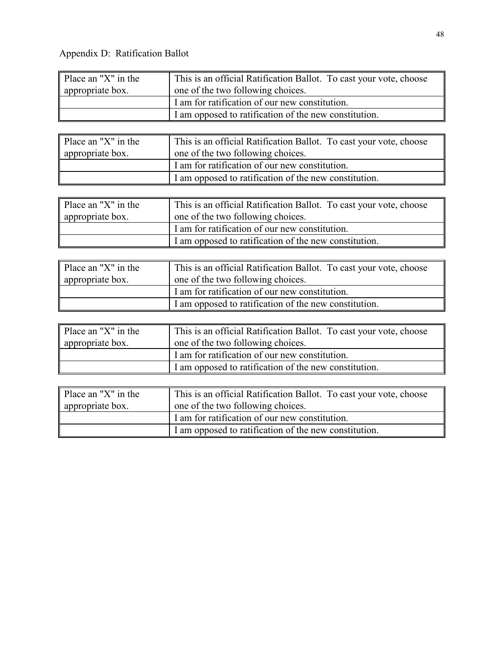Appendix D: Ratification Ballot

| Place an "X" in the | This is an official Ratification Ballot. To cast your vote, choose |
|---------------------|--------------------------------------------------------------------|
| appropriate box.    | one of the two following choices.                                  |
|                     | I am for ratification of our new constitution.                     |
|                     | I am opposed to ratification of the new constitution.              |

| Place an "X" in the | This is an official Ratification Ballot. To cast your vote, choose |
|---------------------|--------------------------------------------------------------------|
| appropriate box.    | one of the two following choices.                                  |
|                     | I am for ratification of our new constitution.                     |
|                     | I am opposed to ratification of the new constitution.              |

| Place an "X" in the | This is an official Ratification Ballot. To cast your vote, choose |
|---------------------|--------------------------------------------------------------------|
| appropriate box.    | one of the two following choices.                                  |
|                     | I am for ratification of our new constitution.                     |
|                     | I am opposed to ratification of the new constitution.              |

| $\parallel$ Place an "X" in the | This is an official Ratification Ballot. To cast your vote, choose |
|---------------------------------|--------------------------------------------------------------------|
| appropriate box.                | one of the two following choices.                                  |
|                                 | I am for ratification of our new constitution.                     |
|                                 | I am opposed to ratification of the new constitution.              |

| Place an "X" in the | This is an official Ratification Ballot. To cast your vote, choose |
|---------------------|--------------------------------------------------------------------|
| appropriate box.    | one of the two following choices.                                  |
|                     | I am for ratification of our new constitution.                     |
|                     | I am opposed to ratification of the new constitution.              |

| $\parallel$ Place an "X" in the | This is an official Ratification Ballot. To cast your vote, choose |
|---------------------------------|--------------------------------------------------------------------|
| appropriate box.                | one of the two following choices.                                  |
|                                 | I am for ratification of our new constitution.                     |
|                                 | I am opposed to ratification of the new constitution.              |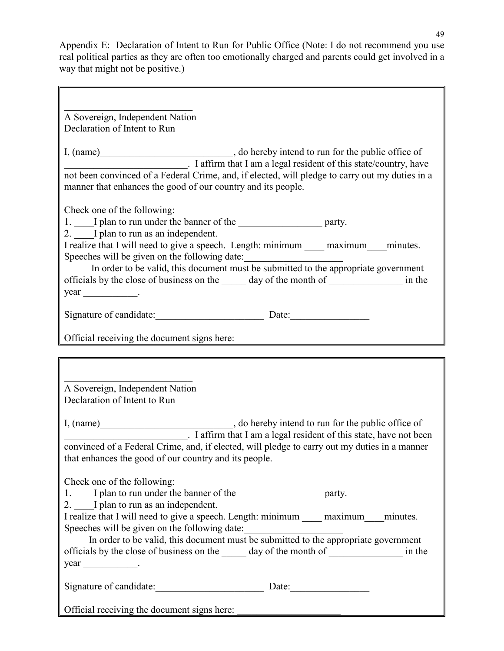Appendix E: Declaration of Intent to Run for Public Office (Note: I do not recommend you use real political parties as they are often too emotionally charged and parents could get involved in a way that might not be positive.)

| A Sovereign, Independent Nation                                                                                                                                                     |  |
|-------------------------------------------------------------------------------------------------------------------------------------------------------------------------------------|--|
| Declaration of Intent to Run                                                                                                                                                        |  |
|                                                                                                                                                                                     |  |
| I, (name) _________________________________, do hereby intend to run for the public office of ____________________. I affirm that I am a legal resident of this state/country, have |  |
|                                                                                                                                                                                     |  |
| not been convinced of a Federal Crime, and, if elected, will pledge to carry out my duties in a                                                                                     |  |
| manner that enhances the good of our country and its people.                                                                                                                        |  |
| Check one of the following:                                                                                                                                                         |  |
|                                                                                                                                                                                     |  |
| 1. I plan to run under the banner of the service control of the service party.<br>2. I plan to run as an independent.                                                               |  |
|                                                                                                                                                                                     |  |
| I realize that I will need to give a speech. Length: minimum _____ maximum____ minutes.                                                                                             |  |
| Speeches will be given on the following date:                                                                                                                                       |  |
| In order to be valid, this document must be submitted to the appropriate government                                                                                                 |  |
| officials by the close of business on the ______ day of the month of ________________ in the                                                                                        |  |
| $year$ _______________.                                                                                                                                                             |  |
|                                                                                                                                                                                     |  |
| Signature of candidate: Date: Date:                                                                                                                                                 |  |
|                                                                                                                                                                                     |  |
| Official receiving the document signs here:                                                                                                                                         |  |
|                                                                                                                                                                                     |  |
|                                                                                                                                                                                     |  |
|                                                                                                                                                                                     |  |
|                                                                                                                                                                                     |  |
| A Sovereign, Independent Nation                                                                                                                                                     |  |
| Declaration of Intent to Run                                                                                                                                                        |  |
|                                                                                                                                                                                     |  |
|                                                                                                                                                                                     |  |
| I, (name) , do hereby intend to run for the public office of<br>Iteration allows the public office of this state, have not been                                                     |  |
| convinced of a Federal Crime, and, if elected, will pledge to carry out my duties in a manner                                                                                       |  |
| that enhances the good of our country and its people.                                                                                                                               |  |
|                                                                                                                                                                                     |  |
| Check one of the following:                                                                                                                                                         |  |
|                                                                                                                                                                                     |  |
| 2. I plan to run as an independent.                                                                                                                                                 |  |
| I realize that I will need to give a speech. Length: minimum maximum minutes.                                                                                                       |  |
| Speeches will be given on the following date:                                                                                                                                       |  |
| In order to be valid, this document must be submitted to the appropriate government                                                                                                 |  |
| officials by the close of business on the same day of the month of same in the                                                                                                      |  |
| $year$ ______________.                                                                                                                                                              |  |
|                                                                                                                                                                                     |  |
| Signature of candidate: Date: Date:                                                                                                                                                 |  |
| Official receiving the document signs here:                                                                                                                                         |  |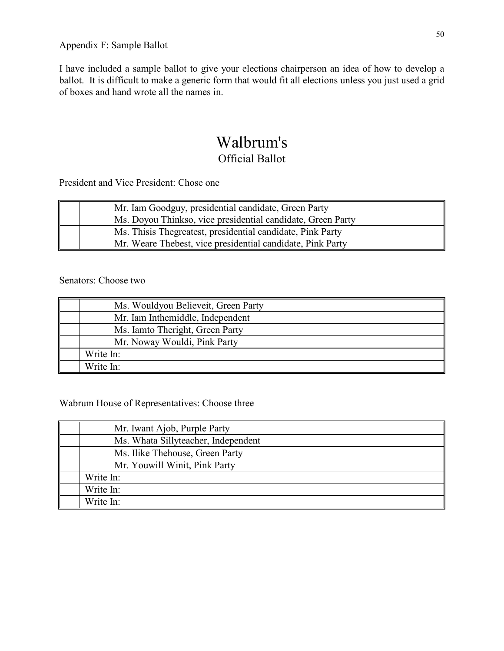I have included a sample ballot to give your elections chairperson an idea of how to develop a ballot. It is difficult to make a generic form that would fit all elections unless you just used a grid of boxes and hand wrote all the names in.

# Walbrum's Official Ballot

President and Vice President: Chose one

| Mr. Iam Goodguy, presidential candidate, Green Party        |
|-------------------------------------------------------------|
| Ms. Doyou Thinkso, vice presidential candidate, Green Party |
| Ms. This is Thegreatest, presidential candidate, Pink Party |
| Mr. Weare Thebest, vice presidential candidate, Pink Party  |

## Senators: Choose two

| Ms. Wouldyou Believeit, Green Party |
|-------------------------------------|
| Mr. Iam Inthemiddle, Independent    |
| Ms. Iamto Theright, Green Party     |
| Mr. Noway Wouldi, Pink Party        |
| Write In:                           |
| Write In:                           |

## Wabrum House of Representatives: Choose three

| Mr. Iwant Ajob, Purple Party        |
|-------------------------------------|
| Ms. Whata Sillyteacher, Independent |
| Ms. Ilike Thehouse, Green Party     |
| Mr. Youwill Winit, Pink Party       |
| Write In:                           |
| Write In:                           |
| Write In:                           |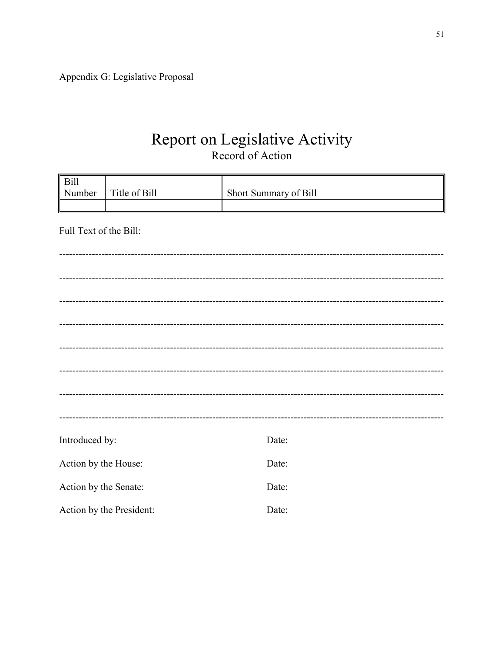Appendix G: Legislative Proposal

# Report on Legislative Activity Record of Action

| $\parallel$ Bill<br>Number | Title of Bill            | Short Summary of Bill |
|----------------------------|--------------------------|-----------------------|
|                            |                          |                       |
|                            |                          |                       |
| Full Text of the Bill:     |                          |                       |
|                            |                          |                       |
|                            |                          |                       |
|                            |                          |                       |
|                            |                          |                       |
|                            |                          |                       |
|                            |                          |                       |
|                            |                          |                       |
|                            |                          |                       |
|                            |                          |                       |
|                            |                          |                       |
|                            |                          |                       |
|                            |                          |                       |
| Introduced by:             |                          | Date:                 |
| Action by the House:       |                          | Date:                 |
| Action by the Senate:      |                          | Date:                 |
|                            | Action by the President: | Date:                 |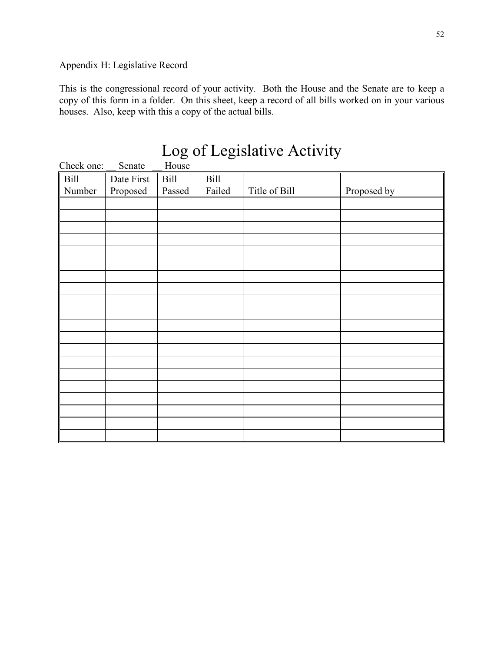# Appendix H: Legislative Record

This is the congressional record of your activity. Both the House and the Senate are to keep a copy of this form in a folder. On this sheet, keep a record of all bills worked on in your various houses. Also, keep with this a copy of the actual bills.

|                  |            |        |             | Log of Legislative Activity |             |
|------------------|------------|--------|-------------|-----------------------------|-------------|
| Check one:       | Senate     | House  |             |                             |             |
| $\parallel$ Bill | Date First | Bill   | <b>Bill</b> |                             |             |
| Number           | Proposed   | Passed | Failed      | Title of Bill               | Proposed by |
|                  |            |        |             |                             |             |
|                  |            |        |             |                             |             |
|                  |            |        |             |                             |             |
|                  |            |        |             |                             |             |
|                  |            |        |             |                             |             |
|                  |            |        |             |                             |             |
|                  |            |        |             |                             |             |
|                  |            |        |             |                             |             |
|                  |            |        |             |                             |             |
|                  |            |        |             |                             |             |
|                  |            |        |             |                             |             |
|                  |            |        |             |                             |             |
|                  |            |        |             |                             |             |
|                  |            |        |             |                             |             |
|                  |            |        |             |                             |             |
|                  |            |        |             |                             |             |
|                  |            |        |             |                             |             |
|                  |            |        |             |                             |             |
|                  |            |        |             |                             |             |
|                  |            |        |             |                             |             |

# Log of Legislative Activity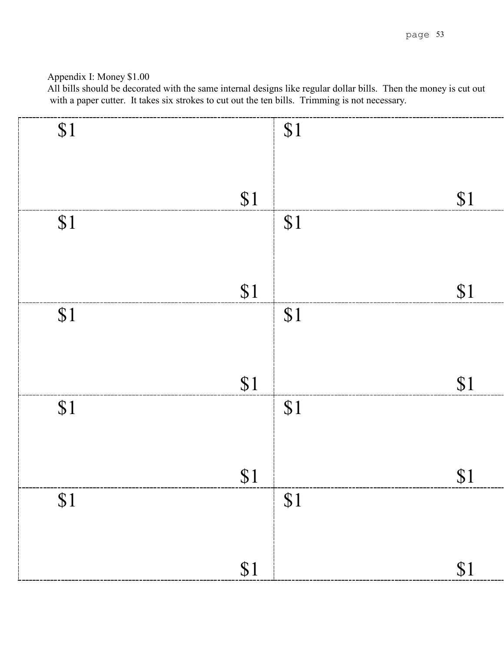# Appendix I: Money \$1.00

| \$1 |     | \$1 |     |
|-----|-----|-----|-----|
|     |     |     |     |
|     |     |     |     |
|     |     |     |     |
|     |     |     |     |
|     | \$1 |     | \$1 |
| \$1 |     | \$1 |     |
|     |     |     |     |
|     |     |     |     |
|     |     |     |     |
|     |     |     |     |
|     | \$1 |     | \$1 |
| \$1 |     | \$1 |     |
|     |     |     |     |
|     |     |     |     |
|     |     |     |     |
|     |     |     |     |
|     | \$1 |     | \$1 |
| \$1 |     | \$1 |     |
|     |     |     |     |
|     |     |     |     |
|     |     |     |     |
|     |     |     |     |
|     | \$1 |     | \$1 |
| \$1 |     | \$1 |     |
|     |     |     |     |
|     |     |     |     |
|     |     |     |     |
|     |     |     |     |
|     | \$1 |     | \$1 |
|     |     |     |     |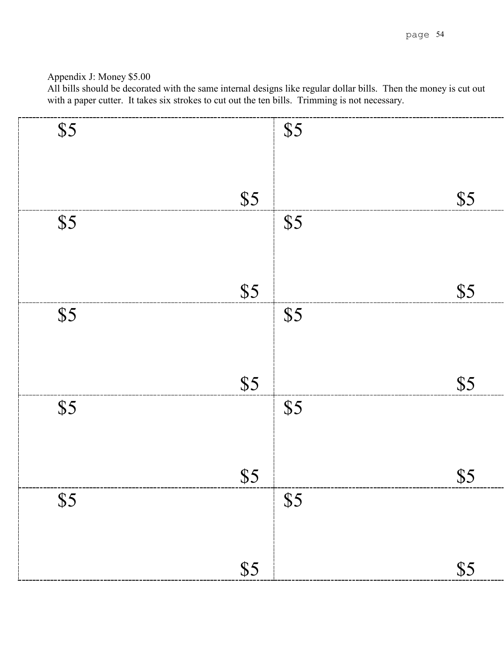# Appendix J: Money \$5.00

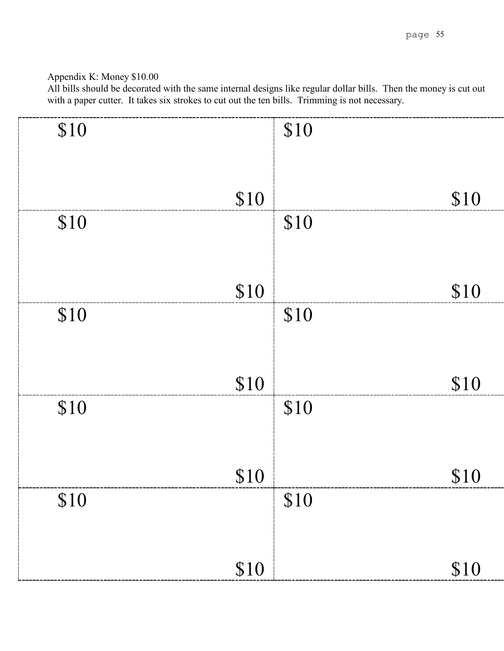# Appendix K: Money \$10.00

| \$10 |      | \$10 |      |
|------|------|------|------|
|      |      |      |      |
|      |      |      |      |
|      |      |      |      |
|      | \$10 |      | \$10 |
|      |      |      |      |
| \$10 |      | \$10 |      |
|      |      |      |      |
|      |      |      |      |
|      |      |      |      |
|      | \$10 |      | \$10 |
| \$10 |      | \$10 |      |
|      |      |      |      |
|      |      |      |      |
|      |      |      |      |
|      | \$10 |      |      |
|      |      |      | \$10 |
| \$10 |      | \$10 |      |
|      |      |      |      |
|      |      |      |      |
|      |      |      |      |
|      | \$10 |      | \$10 |
|      |      |      |      |
| \$10 |      | \$10 |      |
|      |      |      |      |
|      |      |      |      |
|      |      |      |      |
|      | \$10 |      | \$10 |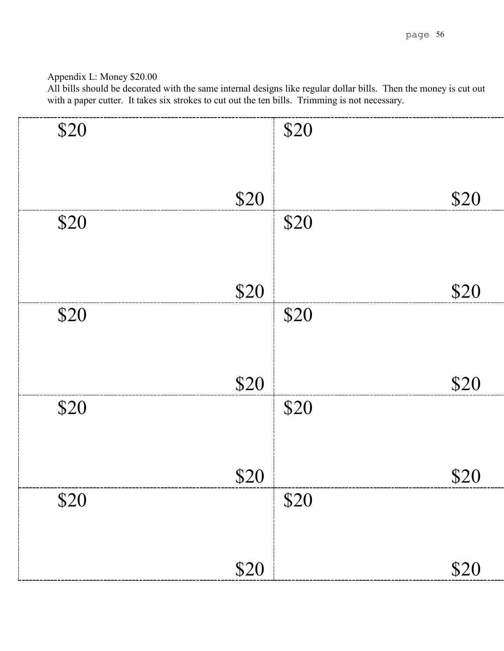# Appendix L: Money \$20.00

| \$20 |      | \$20 |      |
|------|------|------|------|
|      |      |      |      |
|      | \$20 |      | \$20 |
| \$20 |      | \$20 |      |
|      |      |      |      |
|      | \$20 |      | \$20 |
| \$20 |      | \$20 |      |
|      |      |      |      |
|      | \$20 |      | \$20 |
| \$20 |      | \$20 |      |
|      |      |      |      |
|      | \$20 |      | \$20 |
| \$20 |      | \$20 |      |
|      |      |      |      |
|      | \$20 |      | \$20 |
|      |      |      |      |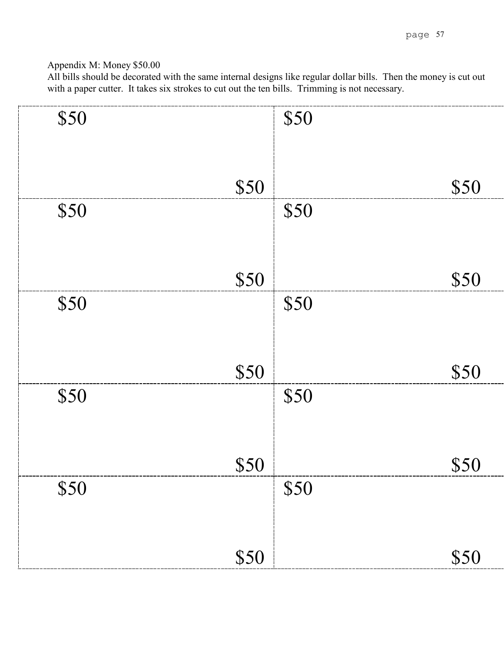Appendix M: Money \$50.00

| \$50 |      | \$50 |      |
|------|------|------|------|
|      | \$50 |      | \$50 |
| \$50 |      | \$50 |      |
|      | \$50 |      | \$50 |
| \$50 |      | \$50 |      |
|      | \$50 |      |      |
| \$50 |      | \$50 | \$50 |
|      |      |      |      |
| \$50 | \$50 | \$50 | \$50 |
|      |      |      |      |
|      | \$50 |      | \$50 |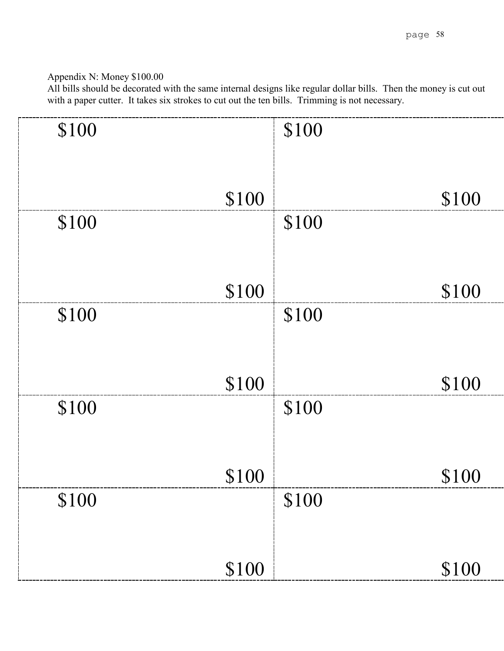# Appendix N: Money \$100.00

| \$100 |       | \$100 |       |
|-------|-------|-------|-------|
|       |       |       |       |
|       |       |       |       |
|       |       |       |       |
|       |       |       |       |
|       | \$100 |       | \$100 |
| \$100 |       | \$100 |       |
|       |       |       |       |
|       |       |       |       |
|       |       |       |       |
|       |       |       |       |
|       | \$100 |       | \$100 |
| \$100 |       | \$100 |       |
|       |       |       |       |
|       |       |       |       |
|       |       |       |       |
|       |       |       |       |
|       | \$100 |       | \$100 |
|       |       |       |       |
| \$100 |       | \$100 |       |
|       |       |       |       |
|       |       |       |       |
|       |       |       |       |
|       | \$100 |       | \$100 |
|       |       |       |       |
| \$100 |       | \$100 |       |
|       |       |       |       |
|       |       |       |       |
|       |       |       |       |
|       |       |       |       |
|       | \$100 |       | \$100 |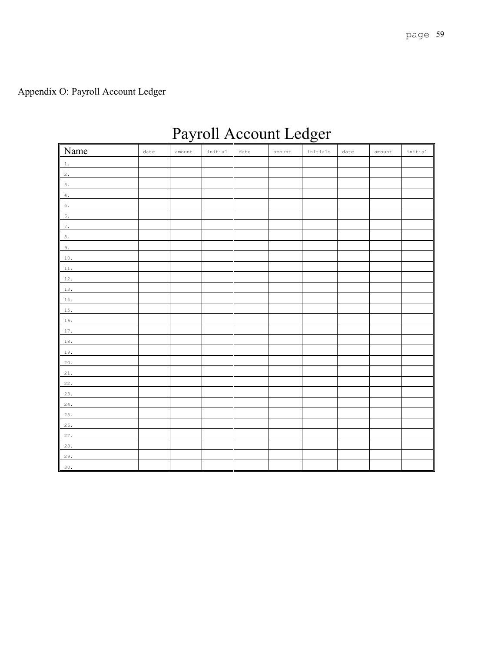# Payroll Account Ledger

| Name     | date | amount | initial | date | amount | $\it initial$ s | date | amount | initial |
|----------|------|--------|---------|------|--------|-----------------|------|--------|---------|
| 1.       |      |        |         |      |        |                 |      |        |         |
| 2.       |      |        |         |      |        |                 |      |        |         |
| 3.       |      |        |         |      |        |                 |      |        |         |
| $4$ .    |      |        |         |      |        |                 |      |        |         |
| $5. \,$  |      |        |         |      |        |                 |      |        |         |
| $\,6$ .  |      |        |         |      |        |                 |      |        |         |
| 7.       |      |        |         |      |        |                 |      |        |         |
| $\,8$ .  |      |        |         |      |        |                 |      |        |         |
| 9.       |      |        |         |      |        |                 |      |        |         |
| $10$ .   |      |        |         |      |        |                 |      |        |         |
| $11$ .   |      |        |         |      |        |                 |      |        |         |
| $12$ .   |      |        |         |      |        |                 |      |        |         |
| 13.      |      |        |         |      |        |                 |      |        |         |
| $14$ .   |      |        |         |      |        |                 |      |        |         |
| $15$ .   |      |        |         |      |        |                 |      |        |         |
| $16$ .   |      |        |         |      |        |                 |      |        |         |
| 17.      |      |        |         |      |        |                 |      |        |         |
| $18$ .   |      |        |         |      |        |                 |      |        |         |
| 19.      |      |        |         |      |        |                 |      |        |         |
| $20\,.$  |      |        |         |      |        |                 |      |        |         |
| $21.$    |      |        |         |      |        |                 |      |        |         |
| 22.      |      |        |         |      |        |                 |      |        |         |
| 23.      |      |        |         |      |        |                 |      |        |         |
| $24$ .   |      |        |         |      |        |                 |      |        |         |
| 25.      |      |        |         |      |        |                 |      |        |         |
| $26$ .   |      |        |         |      |        |                 |      |        |         |
| 27.      |      |        |         |      |        |                 |      |        |         |
| $2\,8$ . |      |        |         |      |        |                 |      |        |         |
| $29.$    |      |        |         |      |        |                 |      |        |         |
| $30.$    |      |        |         |      |        |                 |      |        |         |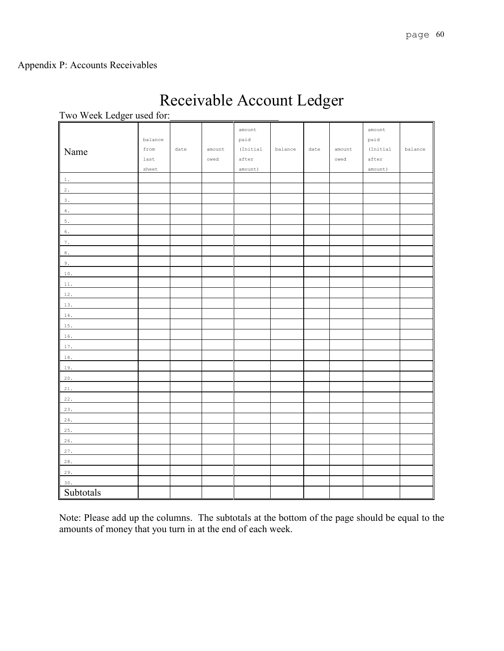# Appendix P: Accounts Receivables

# Receivable Account Ledger

| I WO WEEK LEUGEI USEU IOI. |         |      |        |          |         |      |        |          |         |
|----------------------------|---------|------|--------|----------|---------|------|--------|----------|---------|
|                            |         |      |        | amount   |         |      |        | amount   |         |
|                            | balance |      |        | paid     |         |      |        | paid     |         |
| Name                       | from    | date | amount | (Initial | balance | date | amount | (Initial | balance |
|                            | last    |      | owed   | after    |         |      | owed   | after    |         |
|                            | sheet   |      |        | amount)  |         |      |        | amount)  |         |
| 1.                         |         |      |        |          |         |      |        |          |         |
| 2.                         |         |      |        |          |         |      |        |          |         |
| $3$ .                      |         |      |        |          |         |      |        |          |         |
| $4$ .                      |         |      |        |          |         |      |        |          |         |
| $5$ .                      |         |      |        |          |         |      |        |          |         |
| $\,6$ .                    |         |      |        |          |         |      |        |          |         |
| $7\,.$                     |         |      |        |          |         |      |        |          |         |
| $\,8$ .                    |         |      |        |          |         |      |        |          |         |
| $9$ .                      |         |      |        |          |         |      |        |          |         |
| $10$ .                     |         |      |        |          |         |      |        |          |         |
| $11$ .                     |         |      |        |          |         |      |        |          |         |
| $12$ .                     |         |      |        |          |         |      |        |          |         |
| 13.                        |         |      |        |          |         |      |        |          |         |
| $14$ .                     |         |      |        |          |         |      |        |          |         |
| $15$ .                     |         |      |        |          |         |      |        |          |         |
| $16$ .                     |         |      |        |          |         |      |        |          |         |
| $17\,.$                    |         |      |        |          |         |      |        |          |         |
| $18$ .                     |         |      |        |          |         |      |        |          |         |
| 19.                        |         |      |        |          |         |      |        |          |         |
| $20\,.$                    |         |      |        |          |         |      |        |          |         |
| $21\,.$                    |         |      |        |          |         |      |        |          |         |
| $22\,.$                    |         |      |        |          |         |      |        |          |         |
| 23.                        |         |      |        |          |         |      |        |          |         |
| $24$ .                     |         |      |        |          |         |      |        |          |         |
| 25.                        |         |      |        |          |         |      |        |          |         |
| $26$ .                     |         |      |        |          |         |      |        |          |         |
| 27.                        |         |      |        |          |         |      |        |          |         |
| $2\,8$ .                   |         |      |        |          |         |      |        |          |         |
| 29.                        |         |      |        |          |         |      |        |          |         |
| 30.                        |         |      |        |          |         |      |        |          |         |
| Subtotals                  |         |      |        |          |         |      |        |          |         |
|                            |         |      |        |          |         |      |        |          |         |

Two Week Ledger used for:

Note: Please add up the columns. The subtotals at the bottom of the page should be equal to the amounts of money that you turn in at the end of each week.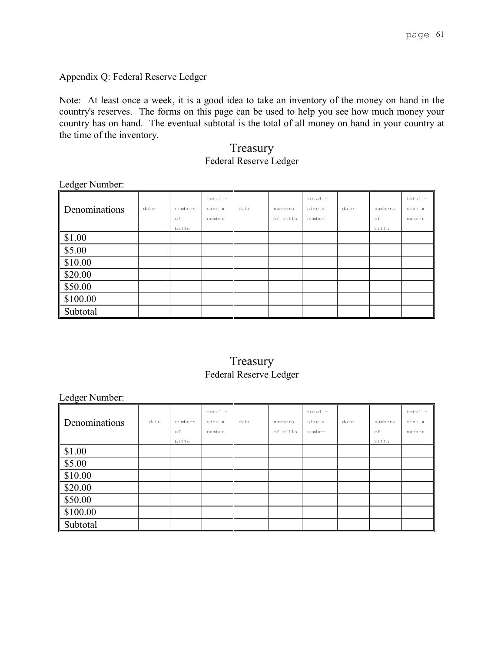Appendix Q: Federal Reserve Ledger

Note: At least once a week, it is a good idea to take an inventory of the money on hand in the country's reserves. The forms on this page can be used to help you see how much money your country has on hand. The eventual subtotal is the total of all money on hand in your country at the time of the inventory.

> Treasury Federal Reserve Ledger

Ledger Number:

| $\tilde{\phantom{a}}$<br>Denominations | date | numbers<br>оf | $total =$<br>size x<br>number | date | numbers<br>of bills | $total =$<br>size x<br>number | date | numbers<br>оf | $total =$<br>size x<br>number |
|----------------------------------------|------|---------------|-------------------------------|------|---------------------|-------------------------------|------|---------------|-------------------------------|
|                                        |      | bills         |                               |      |                     |                               |      | bills         |                               |
| \$1.00                                 |      |               |                               |      |                     |                               |      |               |                               |
| \$5.00                                 |      |               |                               |      |                     |                               |      |               |                               |
| $\frac{1}{2}$ \$10.00                  |      |               |                               |      |                     |                               |      |               |                               |
| \$20.00                                |      |               |                               |      |                     |                               |      |               |                               |
| \$50.00                                |      |               |                               |      |                     |                               |      |               |                               |
| $\frac{1}{2}$ \$100.00                 |      |               |                               |      |                     |                               |      |               |                               |
| Subtotal                               |      |               |                               |      |                     |                               |      |               |                               |

# Treasury Federal Reserve Ledger

Ledger Number:

|               |      |         | $total =$ |      |          | $total =$ |      |         | $total =$ |
|---------------|------|---------|-----------|------|----------|-----------|------|---------|-----------|
| Denominations | date | numbers | size x    | date | numbers  | size x    | date | numbers | size x    |
|               |      | of      | number    |      | of bills | number    |      | οf      | number    |
|               |      | bills   |           |      |          |           |      | bills   |           |
| \$1.00        |      |         |           |      |          |           |      |         |           |
| \$5.00        |      |         |           |      |          |           |      |         |           |
| \$10.00       |      |         |           |      |          |           |      |         |           |
| \$20.00       |      |         |           |      |          |           |      |         |           |
| \$50.00       |      |         |           |      |          |           |      |         |           |
| \$100.00      |      |         |           |      |          |           |      |         |           |
| Subtotal      |      |         |           |      |          |           |      |         |           |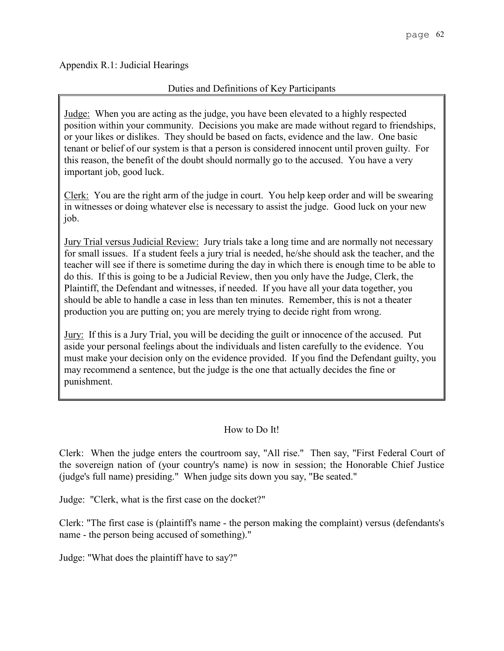Appendix R.1: Judicial Hearings

## Duties and Definitions of Key Participants

Judge: When you are acting as the judge, you have been elevated to a highly respected position within your community. Decisions you make are made without regard to friendships, or your likes or dislikes. They should be based on facts, evidence and the law. One basic tenant or belief of our system is that a person is considered innocent until proven guilty. For this reason, the benefit of the doubt should normally go to the accused. You have a very important job, good luck.

Clerk: You are the right arm of the judge in court. You help keep order and will be swearing in witnesses or doing whatever else is necessary to assist the judge. Good luck on your new job.

Jury Trial versus Judicial Review: Jury trials take a long time and are normally not necessary for small issues. If a student feels a jury trial is needed, he/she should ask the teacher, and the teacher will see if there is sometime during the day in which there is enough time to be able to do this. If this is going to be a Judicial Review, then you only have the Judge, Clerk, the Plaintiff, the Defendant and witnesses, if needed. If you have all your data together, you should be able to handle a case in less than ten minutes. Remember, this is not a theater production you are putting on; you are merely trying to decide right from wrong.

Jury: If this is a Jury Trial, you will be deciding the guilt or innocence of the accused. Put aside your personal feelings about the individuals and listen carefully to the evidence. You must make your decision only on the evidence provided. If you find the Defendant guilty, you may recommend a sentence, but the judge is the one that actually decides the fine or punishment.

## How to Do It!

Clerk: When the judge enters the courtroom say, "All rise." Then say, "First Federal Court of the sovereign nation of (your country's name) is now in session; the Honorable Chief Justice (judge's full name) presiding." When judge sits down you say, "Be seated."

Judge: "Clerk, what is the first case on the docket?"

Clerk: "The first case is (plaintiff's name - the person making the complaint) versus (defendants's name - the person being accused of something)."

Judge: "What does the plaintiff have to say?"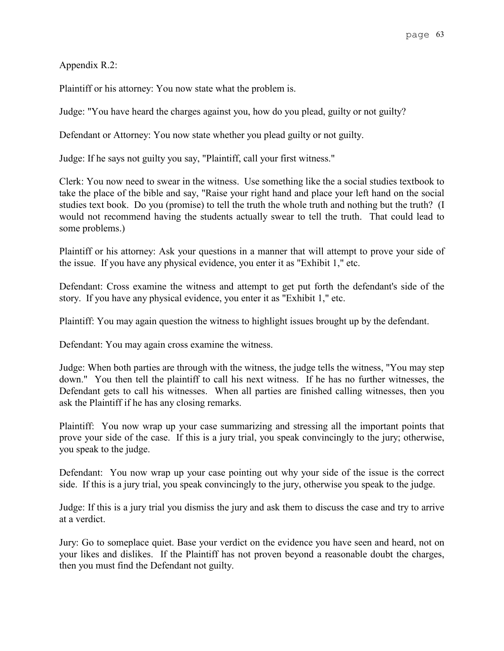Appendix R.2:

Plaintiff or his attorney: You now state what the problem is.

Judge: "You have heard the charges against you, how do you plead, guilty or not guilty?

Defendant or Attorney: You now state whether you plead guilty or not guilty.

Judge: If he says not guilty you say, "Plaintiff, call your first witness."

Clerk: You now need to swear in the witness. Use something like the a social studies textbook to take the place of the bible and say, "Raise your right hand and place your left hand on the social studies text book. Do you (promise) to tell the truth the whole truth and nothing but the truth? (I would not recommend having the students actually swear to tell the truth. That could lead to some problems.)

Plaintiff or his attorney: Ask your questions in a manner that will attempt to prove your side of the issue. If you have any physical evidence, you enter it as "Exhibit 1," etc.

Defendant: Cross examine the witness and attempt to get put forth the defendant's side of the story. If you have any physical evidence, you enter it as "Exhibit 1," etc.

Plaintiff: You may again question the witness to highlight issues brought up by the defendant.

Defendant: You may again cross examine the witness.

Judge: When both parties are through with the witness, the judge tells the witness, "You may step down." You then tell the plaintiff to call his next witness. If he has no further witnesses, the Defendant gets to call his witnesses. When all parties are finished calling witnesses, then you ask the Plaintiff if he has any closing remarks.

Plaintiff: You now wrap up your case summarizing and stressing all the important points that prove your side of the case. If this is a jury trial, you speak convincingly to the jury; otherwise, you speak to the judge.

Defendant: You now wrap up your case pointing out why your side of the issue is the correct side. If this is a jury trial, you speak convincingly to the jury, otherwise you speak to the judge.

Judge: If this is a jury trial you dismiss the jury and ask them to discuss the case and try to arrive at a verdict.

Jury: Go to someplace quiet. Base your verdict on the evidence you have seen and heard, not on your likes and dislikes. If the Plaintiff has not proven beyond a reasonable doubt the charges, then you must find the Defendant not guilty.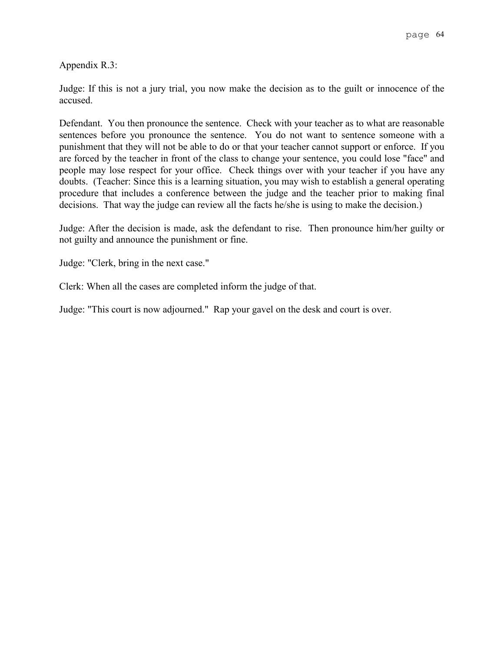Appendix R.3:

Judge: If this is not a jury trial, you now make the decision as to the guilt or innocence of the accused.

Defendant. You then pronounce the sentence. Check with your teacher as to what are reasonable sentences before you pronounce the sentence. You do not want to sentence someone with a punishment that they will not be able to do or that your teacher cannot support or enforce. If you are forced by the teacher in front of the class to change your sentence, you could lose "face" and people may lose respect for your office. Check things over with your teacher if you have any doubts. (Teacher: Since this is a learning situation, you may wish to establish a general operating procedure that includes a conference between the judge and the teacher prior to making final decisions. That way the judge can review all the facts he/she is using to make the decision.)

Judge: After the decision is made, ask the defendant to rise. Then pronounce him/her guilty or not guilty and announce the punishment or fine.

Judge: "Clerk, bring in the next case."

Clerk: When all the cases are completed inform the judge of that.

Judge: "This court is now adjourned." Rap your gavel on the desk and court is over.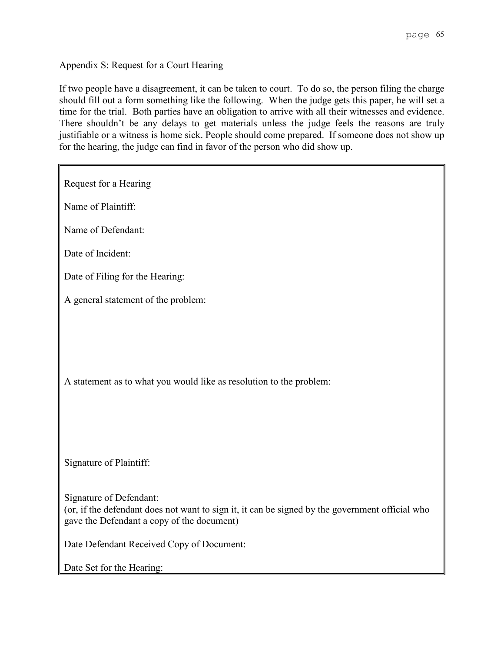Appendix S: Request for a Court Hearing

If two people have a disagreement, it can be taken to court. To do so, the person filing the charge should fill out a form something like the following. When the judge gets this paper, he will set a time for the trial. Both parties have an obligation to arrive with all their witnesses and evidence. There shouldn't be any delays to get materials unless the judge feels the reasons are truly justifiable or a witness is home sick. People should come prepared. If someone does not show up for the hearing, the judge can find in favor of the person who did show up.

Request for a Hearing Name of Plaintiff: Name of Defendant: Date of Incident: Date of Filing for the Hearing: A general statement of the problem: A statement as to what you would like as resolution to the problem: Signature of Plaintiff: Signature of Defendant: (or, if the defendant does not want to sign it, it can be signed by the government official who gave the Defendant a copy of the document) Date Defendant Received Copy of Document: Date Set for the Hearing: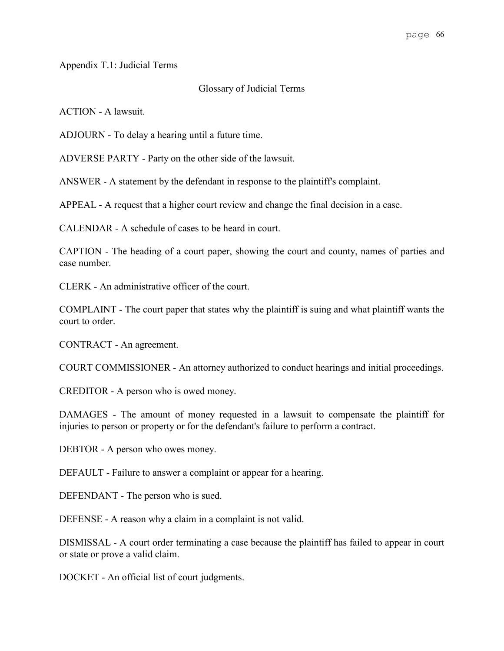Appendix T.1: Judicial Terms

## Glossary of Judicial Terms

ACTION - A lawsuit.

ADJOURN - To delay a hearing until a future time.

ADVERSE PARTY - Party on the other side of the lawsuit.

ANSWER - A statement by the defendant in response to the plaintiff's complaint.

APPEAL - A request that a higher court review and change the final decision in a case.

CALENDAR - A schedule of cases to be heard in court.

CAPTION - The heading of a court paper, showing the court and county, names of parties and case number.

CLERK - An administrative officer of the court.

COMPLAINT - The court paper that states why the plaintiff is suing and what plaintiff wants the court to order.

CONTRACT - An agreement.

COURT COMMISSIONER - An attorney authorized to conduct hearings and initial proceedings.

CREDITOR - A person who is owed money.

DAMAGES - The amount of money requested in a lawsuit to compensate the plaintiff for injuries to person or property or for the defendant's failure to perform a contract.

DEBTOR - A person who owes money.

DEFAULT - Failure to answer a complaint or appear for a hearing.

DEFENDANT - The person who is sued.

DEFENSE - A reason why a claim in a complaint is not valid.

DISMISSAL - A court order terminating a case because the plaintiff has failed to appear in court or state or prove a valid claim.

DOCKET - An official list of court judgments.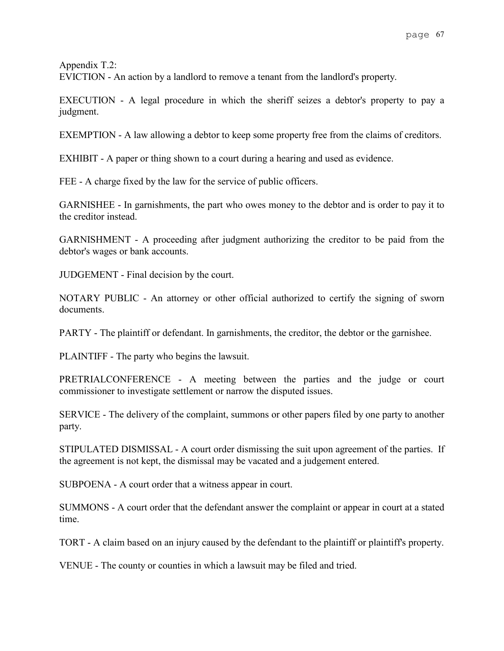Appendix T.2:

EVICTION - An action by a landlord to remove a tenant from the landlord's property.

EXECUTION - A legal procedure in which the sheriff seizes a debtor's property to pay a judgment.

EXEMPTION - A law allowing a debtor to keep some property free from the claims of creditors.

EXHIBIT - A paper or thing shown to a court during a hearing and used as evidence.

FEE - A charge fixed by the law for the service of public officers.

GARNISHEE - In garnishments, the part who owes money to the debtor and is order to pay it to the creditor instead.

GARNISHMENT - A proceeding after judgment authorizing the creditor to be paid from the debtor's wages or bank accounts.

JUDGEMENT - Final decision by the court.

NOTARY PUBLIC - An attorney or other official authorized to certify the signing of sworn documents.

PARTY - The plaintiff or defendant. In garnishments, the creditor, the debtor or the garnishee.

PLAINTIFF - The party who begins the lawsuit.

PRETRIALCONFERENCE - A meeting between the parties and the judge or court commissioner to investigate settlement or narrow the disputed issues.

SERVICE - The delivery of the complaint, summons or other papers filed by one party to another party.

STIPULATED DISMISSAL - A court order dismissing the suit upon agreement of the parties. If the agreement is not kept, the dismissal may be vacated and a judgement entered.

SUBPOENA - A court order that a witness appear in court.

SUMMONS - A court order that the defendant answer the complaint or appear in court at a stated time.

TORT - A claim based on an injury caused by the defendant to the plaintiff or plaintiff's property.

VENUE - The county or counties in which a lawsuit may be filed and tried.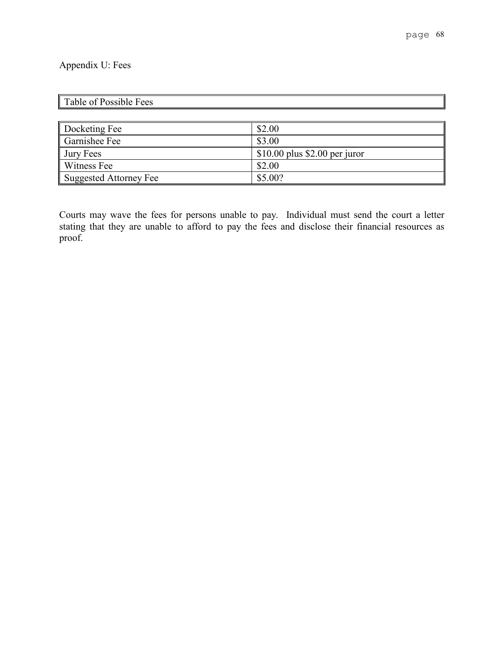# Appendix U: Fees

| $\mathsf I$<br>ees<br>л. |  |
|--------------------------|--|
|                          |  |

| Docketing Fee          | \$2.00                         |
|------------------------|--------------------------------|
| Garnishee Fee          | \$3.00                         |
| <b>Jury Fees</b>       | $$10.00$ plus \$2.00 per juror |
| Witness Fee            | \$2.00                         |
| Suggested Attorney Fee | \$5.00?                        |

Courts may wave the fees for persons unable to pay. Individual must send the court a letter stating that they are unable to afford to pay the fees and disclose their financial resources as proof.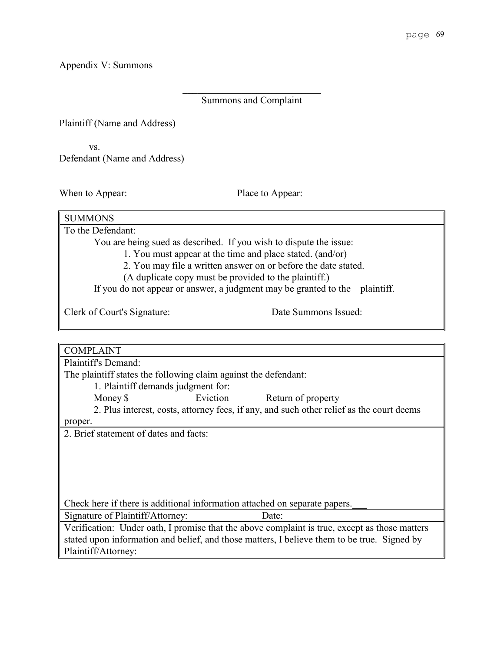Appendix V: Summons

# Summons and Complaint

Plaintiff (Name and Address)

vs. Defendant (Name and Address)

When to Appear: Place to Appear:

Clerk of Court's Signature: Date Summons Issued:

| <b>COMPLAINT</b>                                                                              |  |  |
|-----------------------------------------------------------------------------------------------|--|--|
| Plaintiff's Demand:                                                                           |  |  |
| The plaintiff states the following claim against the defendant:                               |  |  |
| 1. Plaintiff demands judgment for:                                                            |  |  |
| Eviction<br>Money \$<br>Return of property                                                    |  |  |
| 2. Plus interest, costs, attorney fees, if any, and such other relief as the court deems      |  |  |
| proper.                                                                                       |  |  |
| 2. Brief statement of dates and facts:                                                        |  |  |
|                                                                                               |  |  |
|                                                                                               |  |  |
|                                                                                               |  |  |
|                                                                                               |  |  |
|                                                                                               |  |  |
| Check here if there is additional information attached on separate papers.                    |  |  |
| Signature of Plaintiff/Attorney:<br>Date:                                                     |  |  |
| Verification: Under oath, I promise that the above complaint is true, except as those matters |  |  |
| stated upon information and belief, and those matters, I believe them to be true. Signed by   |  |  |
| Plaintiff/Attorney:                                                                           |  |  |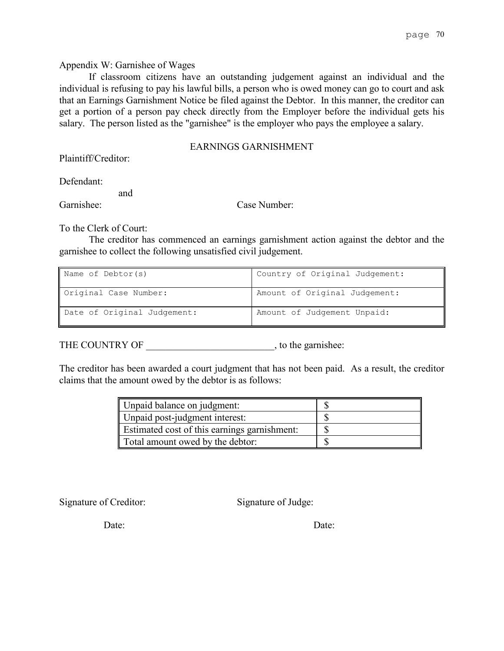### Appendix W: Garnishee of Wages

If classroom citizens have an outstanding judgement against an individual and the individual is refusing to pay his lawful bills, a person who is owed money can go to court and ask that an Earnings Garnishment Notice be filed against the Debtor. In this manner, the creditor can get a portion of a person pay check directly from the Employer before the individual gets his salary. The person listed as the "garnishee" is the employer who pays the employee a salary.

## EARNINGS GARNISHMENT

Plaintiff/Creditor:

Defendant:

and

Garnishee: Case Number:

To the Clerk of Court:

The creditor has commenced an earnings garnishment action against the debtor and the garnishee to collect the following unsatisfied civil judgement.

| Name of Debtor(s)           | Country of Original Judgement: |
|-----------------------------|--------------------------------|
| Original Case Number:       | Amount of Original Judgement:  |
| Date of Original Judgement: | Amount of Judgement Unpaid:    |

THE COUNTRY OF  $\qquad \qquad$ , to the garnishee:

The creditor has been awarded a court judgment that has not been paid. As a result, the creditor claims that the amount owed by the debtor is as follows:

| Unpaid balance on judgment:                  |  |
|----------------------------------------------|--|
| Unpaid post-judgment interest:               |  |
| Estimated cost of this earnings garnishment: |  |
| Total amount owed by the debtor:             |  |

Signature of Creditor: Signature of Judge:

Date: Date: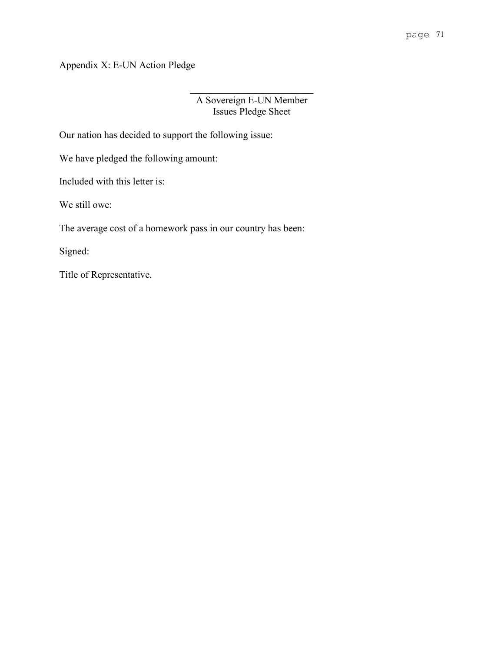Appendix X: E-UN Action Pledge

# A Sovereign E-UN Member Issues Pledge Sheet

Our nation has decided to support the following issue:

We have pledged the following amount:

Included with this letter is:

We still owe:

The average cost of a homework pass in our country has been:

Signed:

Title of Representative.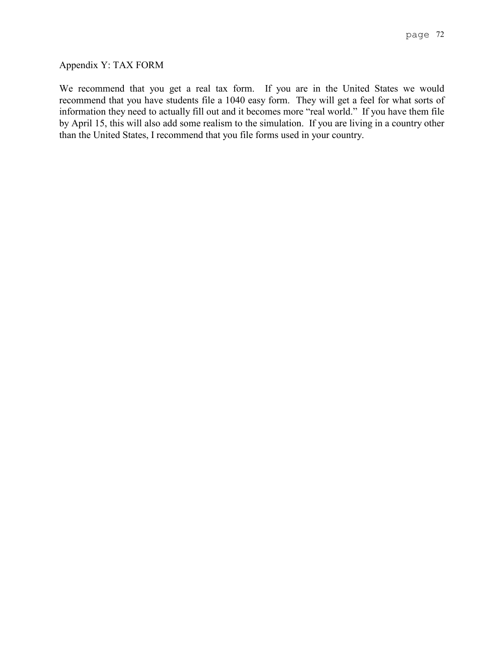### Appendix Y: TAX FORM

We recommend that you get a real tax form. If you are in the United States we would recommend that you have students file a 1040 easy form. They will get a feel for what sorts of information they need to actually fill out and it becomes more "real world." If you have them file by April 15, this will also add some realism to the simulation. If you are living in a country other than the United States, I recommend that you file forms used in your country.